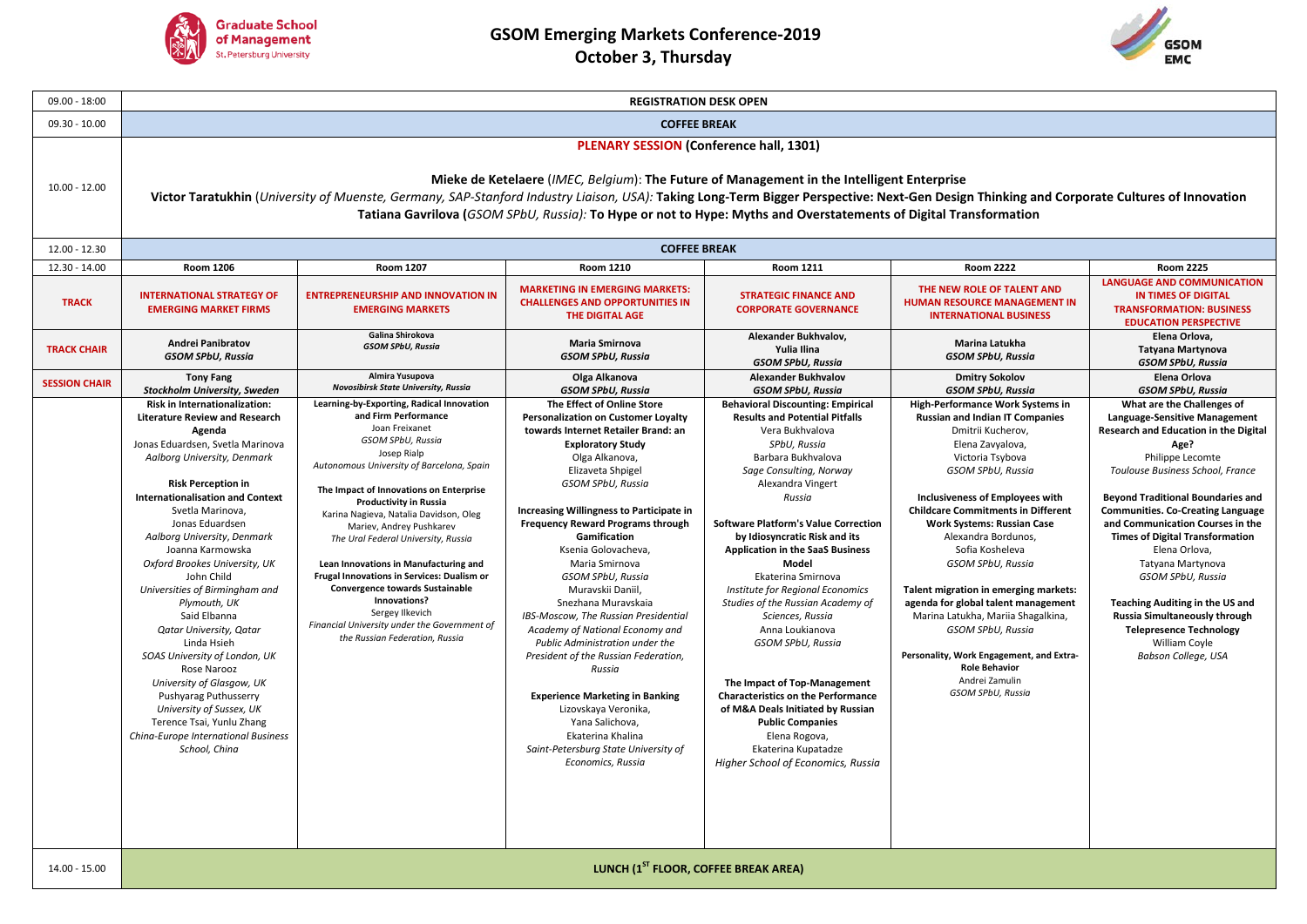



| $09.00 - 18:00$      | <b>REGISTRATION DESK OPEN</b>                                                                                                                                                                                                                                                                                                                                                                                                                                                                                                                                                                                                                                                                                  |                                                                                                                                                                                                                                                                                                                                                                                                                                                                                                                                                                 |                                                                                                                                                                                                                                                                                                                                                                                                                                                                                                                                                                                                                                                                                                                                    |                                                                                                                                                                                                                                                                                                                                                                                                                                                                                                                                                                                                                                                                                                                                |                                                                                                                                                                                                                                                                                                                                                                                                                                                                                                                                                                                                               |                                                                                                                                                                                                                                                                                                                                                                                                                                                                                                                                                                   |  |  |  |  |  |
|----------------------|----------------------------------------------------------------------------------------------------------------------------------------------------------------------------------------------------------------------------------------------------------------------------------------------------------------------------------------------------------------------------------------------------------------------------------------------------------------------------------------------------------------------------------------------------------------------------------------------------------------------------------------------------------------------------------------------------------------|-----------------------------------------------------------------------------------------------------------------------------------------------------------------------------------------------------------------------------------------------------------------------------------------------------------------------------------------------------------------------------------------------------------------------------------------------------------------------------------------------------------------------------------------------------------------|------------------------------------------------------------------------------------------------------------------------------------------------------------------------------------------------------------------------------------------------------------------------------------------------------------------------------------------------------------------------------------------------------------------------------------------------------------------------------------------------------------------------------------------------------------------------------------------------------------------------------------------------------------------------------------------------------------------------------------|--------------------------------------------------------------------------------------------------------------------------------------------------------------------------------------------------------------------------------------------------------------------------------------------------------------------------------------------------------------------------------------------------------------------------------------------------------------------------------------------------------------------------------------------------------------------------------------------------------------------------------------------------------------------------------------------------------------------------------|---------------------------------------------------------------------------------------------------------------------------------------------------------------------------------------------------------------------------------------------------------------------------------------------------------------------------------------------------------------------------------------------------------------------------------------------------------------------------------------------------------------------------------------------------------------------------------------------------------------|-------------------------------------------------------------------------------------------------------------------------------------------------------------------------------------------------------------------------------------------------------------------------------------------------------------------------------------------------------------------------------------------------------------------------------------------------------------------------------------------------------------------------------------------------------------------|--|--|--|--|--|
| $09.30 - 10.00$      | <b>COFFEE BREAK</b>                                                                                                                                                                                                                                                                                                                                                                                                                                                                                                                                                                                                                                                                                            |                                                                                                                                                                                                                                                                                                                                                                                                                                                                                                                                                                 |                                                                                                                                                                                                                                                                                                                                                                                                                                                                                                                                                                                                                                                                                                                                    |                                                                                                                                                                                                                                                                                                                                                                                                                                                                                                                                                                                                                                                                                                                                |                                                                                                                                                                                                                                                                                                                                                                                                                                                                                                                                                                                                               |                                                                                                                                                                                                                                                                                                                                                                                                                                                                                                                                                                   |  |  |  |  |  |
| $10.00 - 12.00$      | <b>PLENARY SESSION (Conference hall, 1301)</b><br>Mieke de Ketelaere (IMEC, Belgium): The Future of Management in the Intelligent Enterprise<br>Victor Taratukhin (University of Muenste, Germany, SAP-Stanford Industry Liaison, USA): Taking Long-Term Bigger Perspective: Next-Gen Design Thinking and Corporate Cultures of Innovation<br>Tatiana Gavrilova (GSOM SPbU, Russia): To Hype or not to Hype: Myths and Overstatements of Digital Transformation                                                                                                                                                                                                                                                |                                                                                                                                                                                                                                                                                                                                                                                                                                                                                                                                                                 |                                                                                                                                                                                                                                                                                                                                                                                                                                                                                                                                                                                                                                                                                                                                    |                                                                                                                                                                                                                                                                                                                                                                                                                                                                                                                                                                                                                                                                                                                                |                                                                                                                                                                                                                                                                                                                                                                                                                                                                                                                                                                                                               |                                                                                                                                                                                                                                                                                                                                                                                                                                                                                                                                                                   |  |  |  |  |  |
| 12.00 - 12.30        | <b>COFFEE BREAK</b>                                                                                                                                                                                                                                                                                                                                                                                                                                                                                                                                                                                                                                                                                            |                                                                                                                                                                                                                                                                                                                                                                                                                                                                                                                                                                 |                                                                                                                                                                                                                                                                                                                                                                                                                                                                                                                                                                                                                                                                                                                                    |                                                                                                                                                                                                                                                                                                                                                                                                                                                                                                                                                                                                                                                                                                                                |                                                                                                                                                                                                                                                                                                                                                                                                                                                                                                                                                                                                               |                                                                                                                                                                                                                                                                                                                                                                                                                                                                                                                                                                   |  |  |  |  |  |
| 12.30 - 14.00        | <b>Room 1206</b>                                                                                                                                                                                                                                                                                                                                                                                                                                                                                                                                                                                                                                                                                               | <b>Room 1207</b>                                                                                                                                                                                                                                                                                                                                                                                                                                                                                                                                                | <b>Room 1210</b>                                                                                                                                                                                                                                                                                                                                                                                                                                                                                                                                                                                                                                                                                                                   | <b>Room 1211</b>                                                                                                                                                                                                                                                                                                                                                                                                                                                                                                                                                                                                                                                                                                               | <b>Room 2222</b>                                                                                                                                                                                                                                                                                                                                                                                                                                                                                                                                                                                              | <b>Room 2225</b>                                                                                                                                                                                                                                                                                                                                                                                                                                                                                                                                                  |  |  |  |  |  |
| <b>TRACK</b>         | <b>INTERNATIONAL STRATEGY OF</b><br><b>EMERGING MARKET FIRMS</b>                                                                                                                                                                                                                                                                                                                                                                                                                                                                                                                                                                                                                                               | <b>ENTREPRENEURSHIP AND INNOVATION IN</b><br><b>EMERGING MARKETS</b>                                                                                                                                                                                                                                                                                                                                                                                                                                                                                            | <b>MARKETING IN EMERGING MARKETS:</b><br><b>CHALLENGES AND OPPORTUNITIES IN</b><br>THE DIGITAL AGE                                                                                                                                                                                                                                                                                                                                                                                                                                                                                                                                                                                                                                 | <b>STRATEGIC FINANCE AND</b><br><b>CORPORATE GOVERNANCE</b>                                                                                                                                                                                                                                                                                                                                                                                                                                                                                                                                                                                                                                                                    | THE NEW ROLE OF TALENT AND<br><b>HUMAN RESOURCE MANAGEMENT IN</b><br><b>INTERNATIONAL BUSINESS</b>                                                                                                                                                                                                                                                                                                                                                                                                                                                                                                            | <b>LANGUAGE AND COMMUNICATION</b><br><b>IN TIMES OF DIGITAL</b><br><b>TRANSFORMATION: BUSINESS</b><br><b>EDUCATION PERSPECTIVE</b>                                                                                                                                                                                                                                                                                                                                                                                                                                |  |  |  |  |  |
| <b>TRACK CHAIR</b>   | <b>Andrei Panibratov</b><br><b>GSOM SPbU, Russia</b>                                                                                                                                                                                                                                                                                                                                                                                                                                                                                                                                                                                                                                                           | Galina Shirokova<br><b>GSOM SPbU, Russia</b>                                                                                                                                                                                                                                                                                                                                                                                                                                                                                                                    | Maria Smirnova<br><b>GSOM SPbU, Russia</b>                                                                                                                                                                                                                                                                                                                                                                                                                                                                                                                                                                                                                                                                                         | Alexander Bukhvalov,<br>Yulia Ilina<br><b>GSOM SPbU, Russia</b>                                                                                                                                                                                                                                                                                                                                                                                                                                                                                                                                                                                                                                                                | Marina Latukha<br><b>GSOM SPbU, Russia</b>                                                                                                                                                                                                                                                                                                                                                                                                                                                                                                                                                                    | Elena Orlova.<br>Tatyana Martynova<br><b>GSOM SPbU, Russia</b>                                                                                                                                                                                                                                                                                                                                                                                                                                                                                                    |  |  |  |  |  |
| <b>SESSION CHAIR</b> | <b>Tony Fang</b><br>Stockholm University, Sweden                                                                                                                                                                                                                                                                                                                                                                                                                                                                                                                                                                                                                                                               | Almira Yusupova<br>Novosibirsk State University, Russia                                                                                                                                                                                                                                                                                                                                                                                                                                                                                                         | Olga Alkanova<br><b>GSOM SPbU, Russia</b>                                                                                                                                                                                                                                                                                                                                                                                                                                                                                                                                                                                                                                                                                          | <b>Alexander Bukhvalov</b><br><b>GSOM SPbU, Russia</b>                                                                                                                                                                                                                                                                                                                                                                                                                                                                                                                                                                                                                                                                         | <b>Dmitry Sokolov</b><br><b>GSOM SPbU, Russia</b>                                                                                                                                                                                                                                                                                                                                                                                                                                                                                                                                                             | Elena Orlova<br><b>GSOM SPbU, Russia</b>                                                                                                                                                                                                                                                                                                                                                                                                                                                                                                                          |  |  |  |  |  |
|                      | Risk in Internationalization:<br><b>Literature Review and Research</b><br>Agenda<br>Jonas Eduardsen, Svetla Marinova<br>Aalborg University, Denmark<br><b>Risk Perception in</b><br><b>Internationalisation and Context</b><br>Svetla Marinova,<br>Jonas Eduardsen<br>Aalborg University, Denmark<br>Joanna Karmowska<br>Oxford Brookes University, UK<br>John Child<br>Universities of Birmingham and<br>Plymouth, UK<br>Said Elbanna<br><b>Qatar University, Qatar</b><br>Linda Hsieh<br>SOAS University of London, UK<br>Rose Narooz<br>University of Glasgow, UK<br>Pushyarag Puthusserry<br>University of Sussex, UK<br>Terence Tsai, Yunlu Zhang<br>China-Europe International Business<br>School, China | and Firm Performance<br>Joan Freixanet<br>GSOM SPbU, Russia<br>Josep Rialp<br>Autonomous University of Barcelona, Spain<br>The Impact of Innovations on Enterprise<br>Productivity in Russia<br>Karina Nagieva, Natalia Davidson, Oleg<br>Mariev, Andrey Pushkarev<br>The Ural Federal University, Russia<br>Lean Innovations in Manufacturing and<br>Frugal Innovations in Services: Dualism or<br><b>Convergence towards Sustainable</b><br>Innovations?<br>Sergey Ilkevich<br>Financial University under the Government of<br>the Russian Federation, Russia | <b>Personalization on Customer Loyalty</b><br>towards Internet Retailer Brand: an<br><b>Exploratory Study</b><br>Olga Alkanova,<br>Elizaveta Shpigel<br>GSOM SPbU, Russia<br>Increasing Willingness to Participate in<br><b>Frequency Reward Programs through</b><br>Gamification<br>Ksenia Golovacheva,<br>Maria Smirnova<br>GSOM SPbU, Russia<br>Muravskii Daniil.<br>Snezhana Muravskaia<br>IBS-Moscow, The Russian Presidential<br>Academy of National Economy and<br>Public Administration under the<br>President of the Russian Federation,<br>Russia<br><b>Experience Marketing in Banking</b><br>Lizovskaya Veronika,<br>Yana Salichova,<br>Ekaterina Khalina<br>Saint-Petersburg State University of<br>Economics, Russia | <b>Behavioral Discounting: Empirical</b><br><b>Results and Potential Pitfalls</b><br>Vera Bukhvalova<br>SPbU. Russia<br>Barbara Bukhvalova<br>Sage Consulting, Norway<br>Alexandra Vingert<br>Russia<br><b>Software Platform's Value Correction</b><br>by Idiosyncratic Risk and its<br><b>Application in the SaaS Business</b><br>Model<br>Ekaterina Smirnova<br>Institute for Regional Economics<br>Studies of the Russian Academy of<br>Sciences, Russia<br>Anna Loukianova<br>GSOM SPbU, Russia<br>The Impact of Top-Management<br><b>Characteristics on the Performance</b><br>of M&A Deals Initiated by Russian<br><b>Public Companies</b><br>Elena Rogova,<br>Ekaterina Kupatadze<br>Higher School of Economics, Russia | High-Performance Work Systems in<br><b>Russian and Indian IT Companies</b><br>Dmitrii Kucherov,<br>Elena Zavyalova,<br>Victoria Tsybova<br>GSOM SPbU, Russia<br><b>Inclusiveness of Employees with</b><br><b>Childcare Commitments in Different</b><br><b>Work Systems: Russian Case</b><br>Alexandra Bordunos,<br>Sofia Kosheleva<br>GSOM SPbU, Russia<br>Talent migration in emerging markets:<br>agenda for global talent management<br>Marina Latukha, Mariia Shagalkina,<br>GSOM SPbU, Russia<br>Personality, Work Engagement, and Extra-<br><b>Role Behavior</b><br>Andrei Zamulin<br>GSOM SPbU, Russia | What are the Challenges of<br><b>Language-Sensitive Management</b><br>Research and Education in the Digital<br>Age?<br>Philippe Lecomte<br>Toulouse Business School, France<br><b>Beyond Traditional Boundaries and</b><br><b>Communities. Co-Creating Language</b><br>and Communication Courses in the<br><b>Times of Digital Transformation</b><br>Elena Orlova,<br>Tatyana Martynova<br>GSOM SPbU, Russia<br><b>Teaching Auditing in the US and</b><br>Russia Simultaneously through<br><b>Telepresence Technology</b><br>William Coyle<br>Babson College, USA |  |  |  |  |  |
| 14.00 - 15.00        |                                                                                                                                                                                                                                                                                                                                                                                                                                                                                                                                                                                                                                                                                                                |                                                                                                                                                                                                                                                                                                                                                                                                                                                                                                                                                                 | LUNCH (1 <sup>ST</sup> FLOOR, COFFEE BREAK AREA)                                                                                                                                                                                                                                                                                                                                                                                                                                                                                                                                                                                                                                                                                   |                                                                                                                                                                                                                                                                                                                                                                                                                                                                                                                                                                                                                                                                                                                                |                                                                                                                                                                                                                                                                                                                                                                                                                                                                                                                                                                                                               |                                                                                                                                                                                                                                                                                                                                                                                                                                                                                                                                                                   |  |  |  |  |  |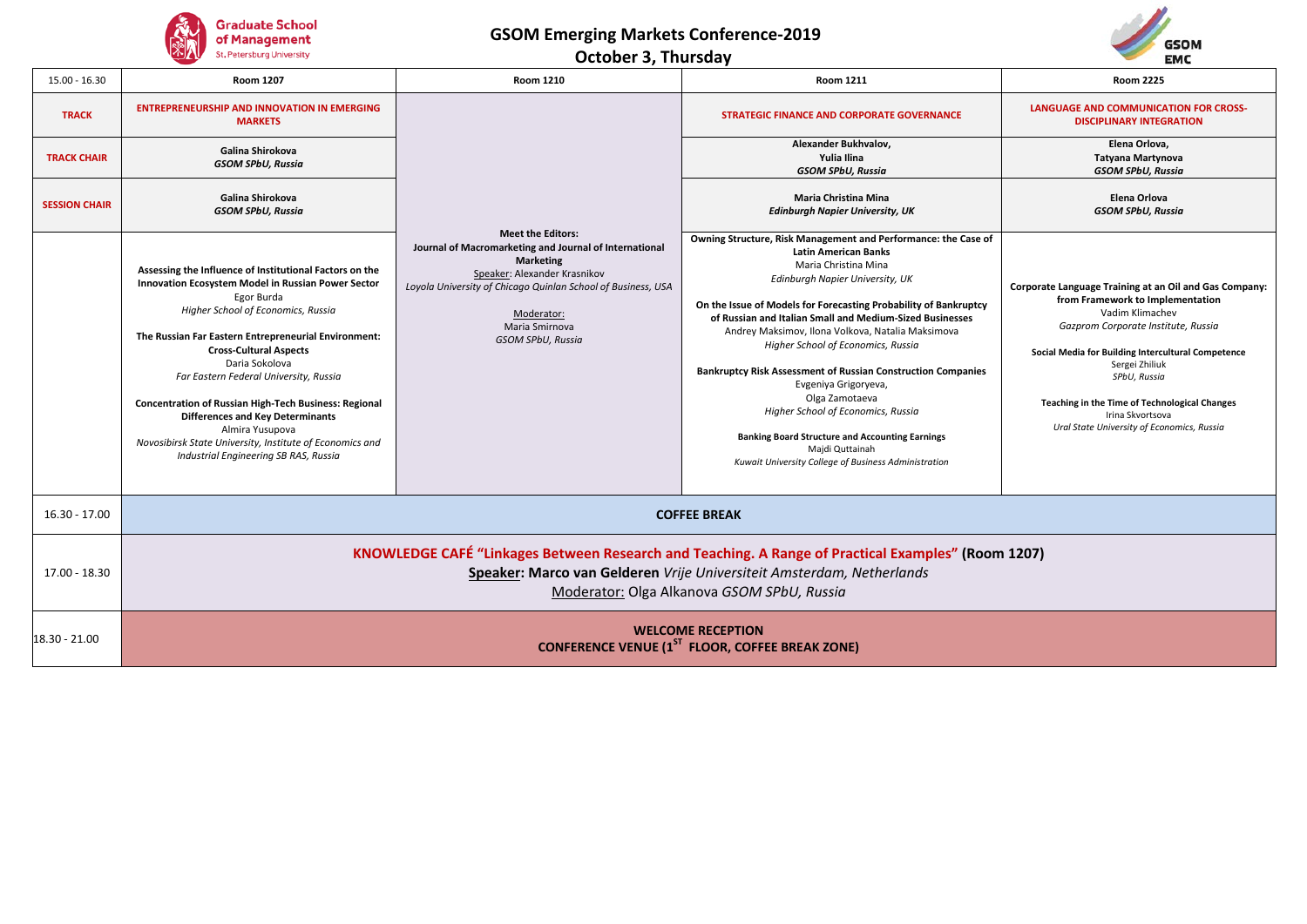

**October 3, Thursday**



| $15.00 - 16.30$      | <b>Room 1207</b>                                                                                                                                                                                                                                                                                                                                                                                                                                                                                                                                          | <b>Room 1210</b>                                                                                                                                                                                                                                            | <b>Room 2225</b><br><b>Room 1211</b>                                                                                                                                                                                                                                                                                                                                                                                                                                                                                                                                                                                                                                            |                                                                                                                                                                                                                                                                                                                                                                 |  |  |  |  |
|----------------------|-----------------------------------------------------------------------------------------------------------------------------------------------------------------------------------------------------------------------------------------------------------------------------------------------------------------------------------------------------------------------------------------------------------------------------------------------------------------------------------------------------------------------------------------------------------|-------------------------------------------------------------------------------------------------------------------------------------------------------------------------------------------------------------------------------------------------------------|---------------------------------------------------------------------------------------------------------------------------------------------------------------------------------------------------------------------------------------------------------------------------------------------------------------------------------------------------------------------------------------------------------------------------------------------------------------------------------------------------------------------------------------------------------------------------------------------------------------------------------------------------------------------------------|-----------------------------------------------------------------------------------------------------------------------------------------------------------------------------------------------------------------------------------------------------------------------------------------------------------------------------------------------------------------|--|--|--|--|
| <b>TRACK</b>         | <b>ENTREPRENEURSHIP AND INNOVATION IN EMERGING</b><br><b>MARKETS</b>                                                                                                                                                                                                                                                                                                                                                                                                                                                                                      |                                                                                                                                                                                                                                                             | STRATEGIC FINANCE AND CORPORATE GOVERNANCE                                                                                                                                                                                                                                                                                                                                                                                                                                                                                                                                                                                                                                      | <b>LANGUAGE AND COMMUNICATION FOR CROSS-</b><br><b>DISCIPLINARY INTEGRATION</b>                                                                                                                                                                                                                                                                                 |  |  |  |  |
| <b>TRACK CHAIR</b>   | Galina Shirokova<br>GSOM SPbU, Russia                                                                                                                                                                                                                                                                                                                                                                                                                                                                                                                     |                                                                                                                                                                                                                                                             | Alexander Bukhvalov,<br>Yulia Ilina<br><b>GSOM SPbU, Russia</b>                                                                                                                                                                                                                                                                                                                                                                                                                                                                                                                                                                                                                 | Elena Orlova,<br>Tatyana Martynova<br><b>GSOM SPbU, Russia</b>                                                                                                                                                                                                                                                                                                  |  |  |  |  |
| <b>SESSION CHAIR</b> | Galina Shirokova<br><b>GSOM SPbU, Russia</b>                                                                                                                                                                                                                                                                                                                                                                                                                                                                                                              |                                                                                                                                                                                                                                                             | <b>Maria Christina Mina</b><br><b>Edinburgh Napier University, UK</b>                                                                                                                                                                                                                                                                                                                                                                                                                                                                                                                                                                                                           | Elena Orlova<br><b>GSOM SPbU, Russia</b>                                                                                                                                                                                                                                                                                                                        |  |  |  |  |
|                      | Assessing the Influence of Institutional Factors on the<br>Innovation Ecosystem Model in Russian Power Sector<br>Egor Burda<br>Higher School of Economics, Russia<br>The Russian Far Eastern Entrepreneurial Environment:<br><b>Cross-Cultural Aspects</b><br>Daria Sokolova<br>Far Eastern Federal University, Russia<br><b>Concentration of Russian High-Tech Business: Regional</b><br><b>Differences and Key Determinants</b><br>Almira Yusupova<br>Novosibirsk State University, Institute of Economics and<br>Industrial Engineering SB RAS, Russia | <b>Meet the Editors:</b><br>Journal of Macromarketing and Journal of International<br><b>Marketing</b><br>Speaker: Alexander Krasnikov<br>Loyola University of Chicago Quinlan School of Business, USA<br>Moderator:<br>Maria Smirnova<br>GSOM SPbU, Russia | Owning Structure, Risk Management and Performance: the Case of<br><b>Latin American Banks</b><br>Maria Christina Mina<br>Edinburgh Napier University, UK<br>On the Issue of Models for Forecasting Probability of Bankruptcy<br>of Russian and Italian Small and Medium-Sized Businesses<br>Andrey Maksimov, Ilona Volkova, Natalia Maksimova<br>Higher School of Economics, Russia<br><b>Bankruptcy Risk Assessment of Russian Construction Companies</b><br>Evgeniya Grigoryeva,<br>Olga Zamotaeva<br>Higher School of Economics, Russia<br><b>Banking Board Structure and Accounting Earnings</b><br>Majdi Quttainah<br>Kuwait University College of Business Administration | Corporate Language Training at an Oil and Gas Company:<br>from Framework to Implementation<br>Vadim Klimachev<br>Gazprom Corporate Institute, Russia<br>Social Media for Building Intercultural Competence<br>Sergei Zhiliuk<br>SPbU, Russia<br>Teaching in the Time of Technological Changes<br>Irina Skvortsova<br>Ural State University of Economics, Russia |  |  |  |  |
| $16.30 - 17.00$      | <b>COFFEE BREAK</b>                                                                                                                                                                                                                                                                                                                                                                                                                                                                                                                                       |                                                                                                                                                                                                                                                             |                                                                                                                                                                                                                                                                                                                                                                                                                                                                                                                                                                                                                                                                                 |                                                                                                                                                                                                                                                                                                                                                                 |  |  |  |  |
| 17.00 - 18.30        | KNOWLEDGE CAFÉ "Linkages Between Research and Teaching. A Range of Practical Examples" (Room 1207)<br>Speaker: Marco van Gelderen Vrije Universiteit Amsterdam, Netherlands<br>Moderator: Olga Alkanova GSOM SPbU, Russia                                                                                                                                                                                                                                                                                                                                 |                                                                                                                                                                                                                                                             |                                                                                                                                                                                                                                                                                                                                                                                                                                                                                                                                                                                                                                                                                 |                                                                                                                                                                                                                                                                                                                                                                 |  |  |  |  |
| 18.30 - 21.00        | <b>WELCOME RECEPTION</b><br><b>CONFERENCE VENUE (1ST FLOOR, COFFEE BREAK ZONE)</b>                                                                                                                                                                                                                                                                                                                                                                                                                                                                        |                                                                                                                                                                                                                                                             |                                                                                                                                                                                                                                                                                                                                                                                                                                                                                                                                                                                                                                                                                 |                                                                                                                                                                                                                                                                                                                                                                 |  |  |  |  |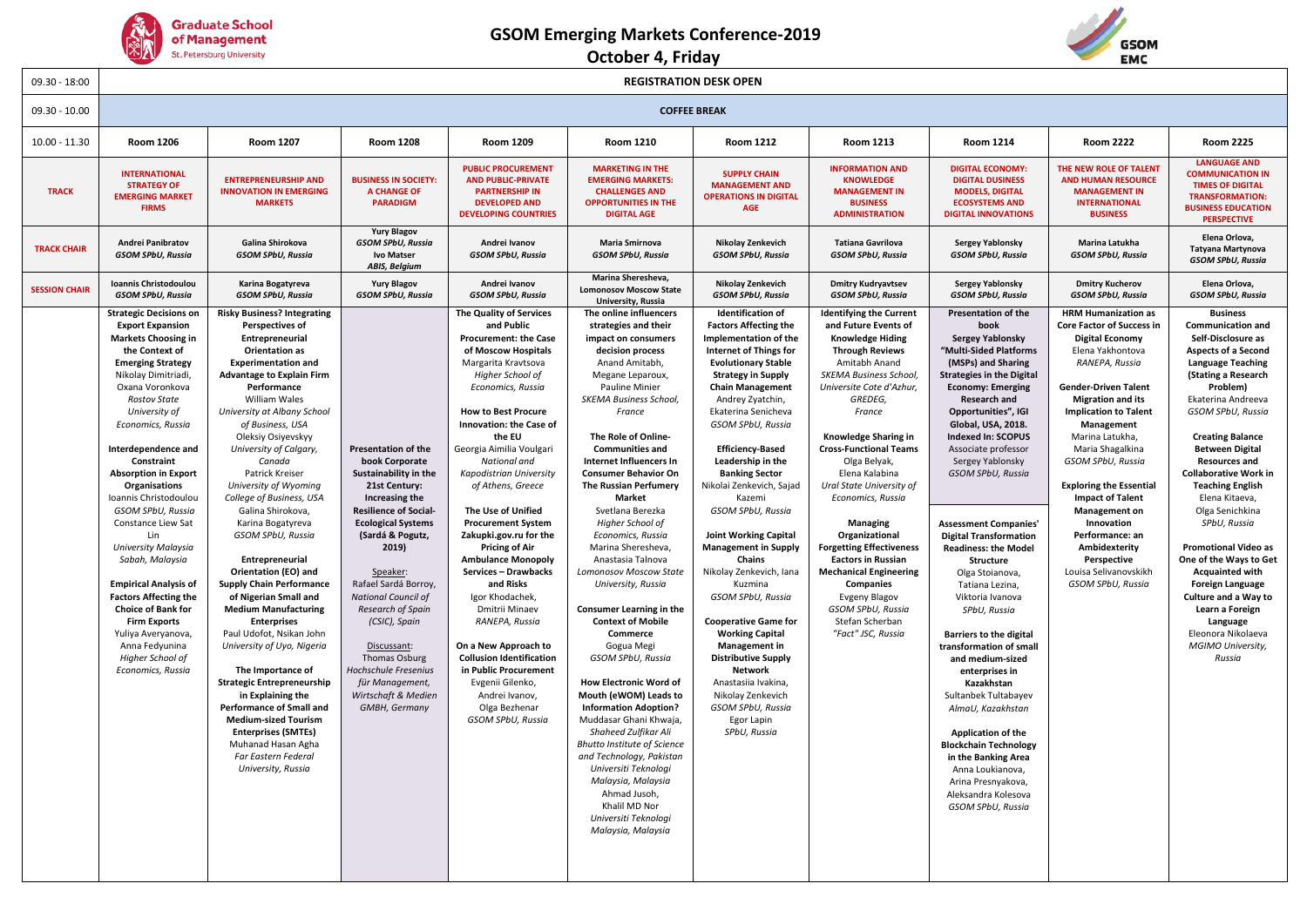

### **October 4, Friday**



| $09.30 - 18:00$      |                                                                                                                                                                                                                                                                                                                                                                                                                                                                                                                                                                                                                                                                   | <b>REGISTRATION DESK OPEN</b>                                                                                                                                                                                                                                                                                                                                                                                                                                                                                                                                                                                                                                                                                                                                                                                                                                                                                                          |                                                                                                                                                                                                                                                                                                                                                                                                                                      |                                                                                                                                                                                                                                                                                                                                                                                                                                                                                                                                                                                                                                                                                                                            |                                                                                                                                                                                                                                                                                                                                                                                                                                                                                                                                                                                                                                                                                                                                                                                                                                                                                                                                                      |                                                                                                                                                                                                                                                                                                                                                                                                                                                                                                                                                                                                                                                                                                                                                                                         |                                                                                                                                                                                                                                                                                                                                                                                                                                                                                                                                                                                       |                                                                                                                                                                                                                                                                                                                                                                                                                                                                                                                                                                                                                                                                                                                                                                                                                                                                                      |                                                                                                                                                                                                                                                                                                                                                                                                                                                                                                         |                                                                                                                                                                                                                                                                                                                                                                                                                                                                                                                                                                                                                                         |
|----------------------|-------------------------------------------------------------------------------------------------------------------------------------------------------------------------------------------------------------------------------------------------------------------------------------------------------------------------------------------------------------------------------------------------------------------------------------------------------------------------------------------------------------------------------------------------------------------------------------------------------------------------------------------------------------------|----------------------------------------------------------------------------------------------------------------------------------------------------------------------------------------------------------------------------------------------------------------------------------------------------------------------------------------------------------------------------------------------------------------------------------------------------------------------------------------------------------------------------------------------------------------------------------------------------------------------------------------------------------------------------------------------------------------------------------------------------------------------------------------------------------------------------------------------------------------------------------------------------------------------------------------|--------------------------------------------------------------------------------------------------------------------------------------------------------------------------------------------------------------------------------------------------------------------------------------------------------------------------------------------------------------------------------------------------------------------------------------|----------------------------------------------------------------------------------------------------------------------------------------------------------------------------------------------------------------------------------------------------------------------------------------------------------------------------------------------------------------------------------------------------------------------------------------------------------------------------------------------------------------------------------------------------------------------------------------------------------------------------------------------------------------------------------------------------------------------------|------------------------------------------------------------------------------------------------------------------------------------------------------------------------------------------------------------------------------------------------------------------------------------------------------------------------------------------------------------------------------------------------------------------------------------------------------------------------------------------------------------------------------------------------------------------------------------------------------------------------------------------------------------------------------------------------------------------------------------------------------------------------------------------------------------------------------------------------------------------------------------------------------------------------------------------------------|-----------------------------------------------------------------------------------------------------------------------------------------------------------------------------------------------------------------------------------------------------------------------------------------------------------------------------------------------------------------------------------------------------------------------------------------------------------------------------------------------------------------------------------------------------------------------------------------------------------------------------------------------------------------------------------------------------------------------------------------------------------------------------------------|---------------------------------------------------------------------------------------------------------------------------------------------------------------------------------------------------------------------------------------------------------------------------------------------------------------------------------------------------------------------------------------------------------------------------------------------------------------------------------------------------------------------------------------------------------------------------------------|--------------------------------------------------------------------------------------------------------------------------------------------------------------------------------------------------------------------------------------------------------------------------------------------------------------------------------------------------------------------------------------------------------------------------------------------------------------------------------------------------------------------------------------------------------------------------------------------------------------------------------------------------------------------------------------------------------------------------------------------------------------------------------------------------------------------------------------------------------------------------------------|---------------------------------------------------------------------------------------------------------------------------------------------------------------------------------------------------------------------------------------------------------------------------------------------------------------------------------------------------------------------------------------------------------------------------------------------------------------------------------------------------------|-----------------------------------------------------------------------------------------------------------------------------------------------------------------------------------------------------------------------------------------------------------------------------------------------------------------------------------------------------------------------------------------------------------------------------------------------------------------------------------------------------------------------------------------------------------------------------------------------------------------------------------------|
| $09.30 - 10.00$      |                                                                                                                                                                                                                                                                                                                                                                                                                                                                                                                                                                                                                                                                   | <b>COFFEE BREAK</b>                                                                                                                                                                                                                                                                                                                                                                                                                                                                                                                                                                                                                                                                                                                                                                                                                                                                                                                    |                                                                                                                                                                                                                                                                                                                                                                                                                                      |                                                                                                                                                                                                                                                                                                                                                                                                                                                                                                                                                                                                                                                                                                                            |                                                                                                                                                                                                                                                                                                                                                                                                                                                                                                                                                                                                                                                                                                                                                                                                                                                                                                                                                      |                                                                                                                                                                                                                                                                                                                                                                                                                                                                                                                                                                                                                                                                                                                                                                                         |                                                                                                                                                                                                                                                                                                                                                                                                                                                                                                                                                                                       |                                                                                                                                                                                                                                                                                                                                                                                                                                                                                                                                                                                                                                                                                                                                                                                                                                                                                      |                                                                                                                                                                                                                                                                                                                                                                                                                                                                                                         |                                                                                                                                                                                                                                                                                                                                                                                                                                                                                                                                                                                                                                         |
| $10.00 - 11.30$      | <b>Room 1206</b>                                                                                                                                                                                                                                                                                                                                                                                                                                                                                                                                                                                                                                                  | <b>Room 1207</b>                                                                                                                                                                                                                                                                                                                                                                                                                                                                                                                                                                                                                                                                                                                                                                                                                                                                                                                       | <b>Room 1208</b>                                                                                                                                                                                                                                                                                                                                                                                                                     | Room 1209                                                                                                                                                                                                                                                                                                                                                                                                                                                                                                                                                                                                                                                                                                                  | <b>Room 1210</b>                                                                                                                                                                                                                                                                                                                                                                                                                                                                                                                                                                                                                                                                                                                                                                                                                                                                                                                                     | <b>Room 1212</b>                                                                                                                                                                                                                                                                                                                                                                                                                                                                                                                                                                                                                                                                                                                                                                        | <b>Room 1213</b>                                                                                                                                                                                                                                                                                                                                                                                                                                                                                                                                                                      | <b>Room 1214</b>                                                                                                                                                                                                                                                                                                                                                                                                                                                                                                                                                                                                                                                                                                                                                                                                                                                                     | <b>Room 2222</b>                                                                                                                                                                                                                                                                                                                                                                                                                                                                                        | <b>Room 2225</b>                                                                                                                                                                                                                                                                                                                                                                                                                                                                                                                                                                                                                        |
| <b>TRACK</b>         | <b>INTERNATIONAL</b><br><b>STRATEGY OF</b><br><b>EMERGING MARKET</b><br><b>FIRMS</b>                                                                                                                                                                                                                                                                                                                                                                                                                                                                                                                                                                              | <b>ENTREPRENEURSHIP AND</b><br><b>INNOVATION IN EMERGING</b><br><b>MARKETS</b>                                                                                                                                                                                                                                                                                                                                                                                                                                                                                                                                                                                                                                                                                                                                                                                                                                                         | <b>BUSINESS IN SOCIETY:</b><br><b>A CHANGE OF</b><br><b>PARADIGM</b>                                                                                                                                                                                                                                                                                                                                                                 | <b>PUBLIC PROCUREMENT</b><br><b>AND PUBLIC-PRIVATE</b><br><b>PARTNERSHIP IN</b><br><b>DEVELOPED AND</b><br><b>DEVELOPING COUNTRIES</b>                                                                                                                                                                                                                                                                                                                                                                                                                                                                                                                                                                                     | <b>MARKETING IN THE</b><br><b>EMERGING MARKETS:</b><br><b>CHALLENGES AND</b><br><b>OPPORTUNITIES IN THE</b><br><b>DIGITAL AGE</b>                                                                                                                                                                                                                                                                                                                                                                                                                                                                                                                                                                                                                                                                                                                                                                                                                    | <b>SUPPLY CHAIN</b><br><b>MANAGEMENT AND</b><br><b>OPERATIONS IN DIGITAL</b><br><b>AGE</b>                                                                                                                                                                                                                                                                                                                                                                                                                                                                                                                                                                                                                                                                                              | <b>INFORMATION AND</b><br><b>KNOWLEDGE</b><br><b>MANAGEMENT IN</b><br><b>BUSINESS</b><br><b>ADMINISTRATION</b>                                                                                                                                                                                                                                                                                                                                                                                                                                                                        | <b>DIGITAL ECONOMY:</b><br><b>DIGITAL DUSINESS</b><br><b>MODELS, DIGITAL</b><br><b>ECOSYSTEMS AND</b><br><b>DIGITAL INNOVATIONS</b>                                                                                                                                                                                                                                                                                                                                                                                                                                                                                                                                                                                                                                                                                                                                                  | THE NEW ROLE OF TALENT<br><b>AND HUMAN RESOURCE</b><br><b>MANAGEMENT IN</b><br><b>INTERNATIONAL</b><br><b>BUSINESS</b>                                                                                                                                                                                                                                                                                                                                                                                  | <b>LANGUAGE AND</b><br><b>COMMUNICATION IN</b><br><b>TIMES OF DIGITAL</b><br><b>TRANSFORMATION:</b><br><b>BUSINESS EDUCATION</b><br><b>PERSPECTIVE</b>                                                                                                                                                                                                                                                                                                                                                                                                                                                                                  |
| <b>TRACK CHAIR</b>   | Andrei Panibratov<br><b>GSOM SPbU, Russia</b>                                                                                                                                                                                                                                                                                                                                                                                                                                                                                                                                                                                                                     | Galina Shirokova<br><b>GSOM SPbU, Russia</b>                                                                                                                                                                                                                                                                                                                                                                                                                                                                                                                                                                                                                                                                                                                                                                                                                                                                                           | <b>Yury Blagov</b><br><b>GSOM SPbU, Russia</b><br><b>Ivo Matser</b><br><b>ABIS, Belgium</b>                                                                                                                                                                                                                                                                                                                                          | Andrei Ivanov<br><b>GSOM SPbU, Russia</b>                                                                                                                                                                                                                                                                                                                                                                                                                                                                                                                                                                                                                                                                                  | Maria Smirnova<br><b>GSOM SPbU, Russia</b>                                                                                                                                                                                                                                                                                                                                                                                                                                                                                                                                                                                                                                                                                                                                                                                                                                                                                                           | Nikolay Zenkevich<br><b>GSOM SPbU, Russia</b>                                                                                                                                                                                                                                                                                                                                                                                                                                                                                                                                                                                                                                                                                                                                           | <b>Tatiana Gavrilova</b><br><b>GSOM SPbU, Russia</b>                                                                                                                                                                                                                                                                                                                                                                                                                                                                                                                                  | <b>Sergey Yablonsky</b><br><b>GSOM SPbU, Russia</b>                                                                                                                                                                                                                                                                                                                                                                                                                                                                                                                                                                                                                                                                                                                                                                                                                                  | Marina Latukha<br><b>GSOM SPbU, Russia</b>                                                                                                                                                                                                                                                                                                                                                                                                                                                              | Elena Orlova,<br>Tatyana Martynova<br><b>GSOM SPbU, Russia</b>                                                                                                                                                                                                                                                                                                                                                                                                                                                                                                                                                                          |
| <b>SESSION CHAIR</b> | Ioannis Christodoulou<br><b>GSOM SPbU, Russia</b>                                                                                                                                                                                                                                                                                                                                                                                                                                                                                                                                                                                                                 | Karina Bogatyreva<br><b>GSOM SPbU, Russia</b>                                                                                                                                                                                                                                                                                                                                                                                                                                                                                                                                                                                                                                                                                                                                                                                                                                                                                          | <b>Yury Blagov</b><br>GSOM SPbU, Russia                                                                                                                                                                                                                                                                                                                                                                                              | Andrei Ivanov<br><b>GSOM SPbU, Russia</b>                                                                                                                                                                                                                                                                                                                                                                                                                                                                                                                                                                                                                                                                                  | Marina Sheresheva.<br><b>Lomonosov Moscow State</b><br>University, Russia                                                                                                                                                                                                                                                                                                                                                                                                                                                                                                                                                                                                                                                                                                                                                                                                                                                                            | Nikolay Zenkevich<br><b>GSOM SPbU, Russia</b>                                                                                                                                                                                                                                                                                                                                                                                                                                                                                                                                                                                                                                                                                                                                           | <b>Dmitry Kudryavtsev</b><br><b>GSOM SPbU, Russia</b>                                                                                                                                                                                                                                                                                                                                                                                                                                                                                                                                 | <b>Sergey Yablonsky</b><br><b>GSOM SPbU, Russia</b>                                                                                                                                                                                                                                                                                                                                                                                                                                                                                                                                                                                                                                                                                                                                                                                                                                  | <b>Dmitry Kucherov</b><br>GSOM SPbU, Russia                                                                                                                                                                                                                                                                                                                                                                                                                                                             | Elena Orlova,<br><b>GSOM SPbU, Russia</b>                                                                                                                                                                                                                                                                                                                                                                                                                                                                                                                                                                                               |
|                      | <b>Strategic Decisions on</b><br><b>Export Expansion</b><br><b>Markets Choosing in</b><br>the Context of<br><b>Emerging Strategy</b><br>Nikolay Dimitriadi,<br>Oxana Voronkova<br><b>Rostov State</b><br>University of<br>Economics, Russia<br>Interdependence and<br>Constraint<br><b>Absorption in Export</b><br>Organisations<br>Ioannis Christodoulou<br>GSOM SPbU, Russia<br>Constance Liew Sat<br>Lin<br><b>University Malaysia</b><br>Sabah, Malaysia<br><b>Empirical Analysis of</b><br><b>Factors Affecting the</b><br><b>Choice of Bank for</b><br><b>Firm Exports</b><br>Yuliya Averyanova,<br>Anna Fedyunina<br>Higher School of<br>Economics, Russia | <b>Risky Business? Integrating</b><br><b>Perspectives of</b><br>Entrepreneurial<br><b>Orientation as</b><br><b>Experimentation and</b><br><b>Advantage to Explain Firm</b><br>Performance<br>William Wales<br>University at Albany School<br>of Business, USA<br>Oleksiy Osiyevskyy<br>University of Calgary,<br>Canada<br>Patrick Kreiser<br>University of Wyoming<br>College of Business, USA<br>Galina Shirokova,<br>Karina Bogatyreva<br>GSOM SPbU, Russia<br>Entrepreneurial<br><b>Orientation (EO) and</b><br><b>Supply Chain Performance</b><br>of Nigerian Small and<br><b>Medium Manufacturing</b><br><b>Enterprises</b><br>Paul Udofot, Nsikan John<br>University of Uyo, Nigeria<br>The Importance of<br><b>Strategic Entrepreneurship</b><br>in Explaining the<br>Performance of Small and<br><b>Medium-sized Tourism</b><br><b>Enterprises (SMTEs)</b><br>Muhanad Hasan Agha<br>Far Eastern Federal<br>University, Russia | <b>Presentation of the</b><br>book Corporate<br>Sustainability in the<br>21st Century:<br>Increasing the<br><b>Resilience of Social-</b><br><b>Ecological Systems</b><br>(Sardá & Pogutz,<br>2019)<br>Speaker:<br>Rafael Sardá Borroy,<br><b>National Council of</b><br>Research of Spain<br>(CSIC), Spain<br>Discussant:<br><b>Thomas Osburg</b><br>Hochschule Fresenius<br>für Management,<br>Wirtschaft & Medien<br>GMBH, Germany | The Quality of Services<br>and Public<br><b>Procurement: the Case</b><br>of Moscow Hospitals<br>Margarita Kravtsova<br>Higher School of<br>Economics, Russia<br><b>How to Best Procure</b><br>Innovation: the Case of<br>the FU<br>Georgia Aimilia Voulgari<br>National and<br>Kapodistrian University<br>of Athens, Greece<br>The Use of Unified<br><b>Procurement System</b><br>Zakupki.gov.ru for the<br><b>Pricing of Air</b><br><b>Ambulance Monopoly</b><br>Services - Drawbacks<br>and Risks<br>Igor Khodachek,<br>Dmitrii Minaev<br>RANEPA, Russia<br>On a New Approach to<br><b>Collusion Identification</b><br>in Public Procurement<br>Evgenii Gilenko,<br>Andrei Ivanov,<br>Olga Bezhenar<br>GSOM SPbU, Russia | The online influencers<br>strategies and their<br>impact on consumers<br>decision process<br>Anand Amitabh,<br>Megane Leparoux,<br>Pauline Minier<br><b>SKEMA Business School,</b><br>France<br>The Role of Online-<br><b>Communities and</b><br>Internet Influencers In<br><b>Consumer Behavior On</b><br>The Russian Perfumery<br>Market<br>Svetlana Berezka<br>Higher School of<br>Economics, Russia<br>Marina Sheresheva,<br>Anastasia Talnova<br>Lomonosov Moscow State<br>University, Russia<br>Consumer Learning in the<br><b>Context of Mobile</b><br>Commerce<br>Gogua Megi<br>GSOM SPbU, Russia<br><b>How Electronic Word of</b><br>Mouth (eWOM) Leads to<br><b>Information Adoption?</b><br>Muddasar Ghani Khwaja,<br>Shaheed Zulfikar Ali<br><b>Bhutto Institute of Science</b><br>and Technology, Pakistan<br>Universiti Teknologi<br>Malaysia, Malaysia<br>Ahmad Jusoh,<br>Khalil MD Nor<br>Universiti Teknologi<br>Malaysia, Malaysia | <b>Identification of</b><br><b>Factors Affecting the</b><br>Implementation of the<br><b>Internet of Things for</b><br><b>Evolutionary Stable</b><br><b>Strategy in Supply</b><br><b>Chain Management</b><br>Andrey Zyatchin,<br>Ekaterina Senicheva<br>GSOM SPbU, Russia<br><b>Efficiency-Based</b><br>Leadership in the<br><b>Banking Sector</b><br>Nikolai Zenkevich, Sajad<br>Kazemi<br>GSOM SPbU, Russia<br><b>Joint Working Capital</b><br><b>Management in Supply</b><br><b>Chains</b><br>Nikolay Zenkevich, Iana<br>Kuzmina<br>GSOM SPbU, Russia<br><b>Cooperative Game for</b><br><b>Working Capital</b><br><b>Management in</b><br><b>Distributive Supply</b><br><b>Network</b><br>Anastasiia Ivakina,<br>Nikolay Zenkevich<br>GSOM SPbU, Russia<br>Egor Lapin<br>SPbU, Russia | <b>Identifying the Current</b><br>and Future Events of<br><b>Knowledge Hiding</b><br><b>Through Reviews</b><br>Amitabh Anand<br>SKEMA Business School,<br>Universite Cote d'Azhur,<br>GREDEG,<br>France<br>Knowledge Sharing in<br><b>Cross-Functional Teams</b><br>Olga Belyak,<br>Elena Kalabina<br>Ural State University of<br>Economics, Russia<br>Managing<br>Organizational<br><b>Forgetting Effectiveness</b><br><b>Eactors in Russian</b><br><b>Mechanical Engineering</b><br>Companies<br><b>Evgeny Blagov</b><br>GSOM SPbU, Russia<br>Stefan Scherban<br>"Fact" JSC, Russia | <b>Presentation of the</b><br>book<br><b>Sergey Yablonsky</b><br>"Multi-Sided Platforms<br>(MSPs) and Sharing<br><b>Strategies in the Digital</b><br><b>Economy: Emerging</b><br><b>Research and</b><br>Opportunities", IGI<br>Global, USA, 2018.<br><b>Indexed In: SCOPUS</b><br>Associate professor<br>Sergey Yablonsky<br>GSOM SPbU, Russia<br><b>Assessment Companies'</b><br><b>Digital Transformation</b><br><b>Readiness: the Model</b><br><b>Structure</b><br>Olga Stoianova,<br>Tatiana Lezina,<br>Viktoria Ivanova<br>SPbU, Russia<br><b>Barriers to the digital</b><br>transformation of small<br>and medium-sized<br>enterprises in<br>Kazakhstan<br>Sultanbek Tultabayev<br>AlmaU, Kazakhstan<br><b>Application of the</b><br><b>Blockchain Technology</b><br>in the Banking Area<br>Anna Loukianova,<br>Arina Presnyakova,<br>Aleksandra Kolesova<br>GSOM SPbU, Russia | <b>HRM Humanization as</b><br><b>Core Factor of Success in</b><br><b>Digital Economy</b><br>Elena Yakhontova<br>RANEPA, Russia<br><b>Gender-Driven Talent</b><br><b>Migration and its</b><br><b>Implication to Talent</b><br>Management<br>Marina Latukha,<br>Maria Shagalkina<br>GSOM SPbU, Russia<br><b>Exploring the Essential</b><br><b>Impact of Talent</b><br><b>Management on</b><br>Innovation<br>Performance: an<br>Ambidexterity<br>Perspective<br>Louisa Selivanovskikh<br>GSOM SPbU, Russia | <b>Business</b><br><b>Communication and</b><br>Self-Disclosure as<br><b>Aspects of a Second</b><br><b>Language Teaching</b><br>(Stating a Research<br>Problem)<br>Ekaterina Andreeva<br>GSOM SPbU, Russia<br><b>Creating Balance</b><br><b>Between Digital</b><br><b>Resources and</b><br><b>Collaborative Work in</b><br><b>Teaching English</b><br>Elena Kitaeva,<br>Olga Senichkina<br>SPbU, Russia<br><b>Promotional Video as</b><br>One of the Ways to Get<br><b>Acquainted with</b><br><b>Foreign Language</b><br>Culture and a Way to<br>Learn a Foreign<br>Language<br>Eleonora Nikolaeva<br><b>MGIMO University,</b><br>Russia |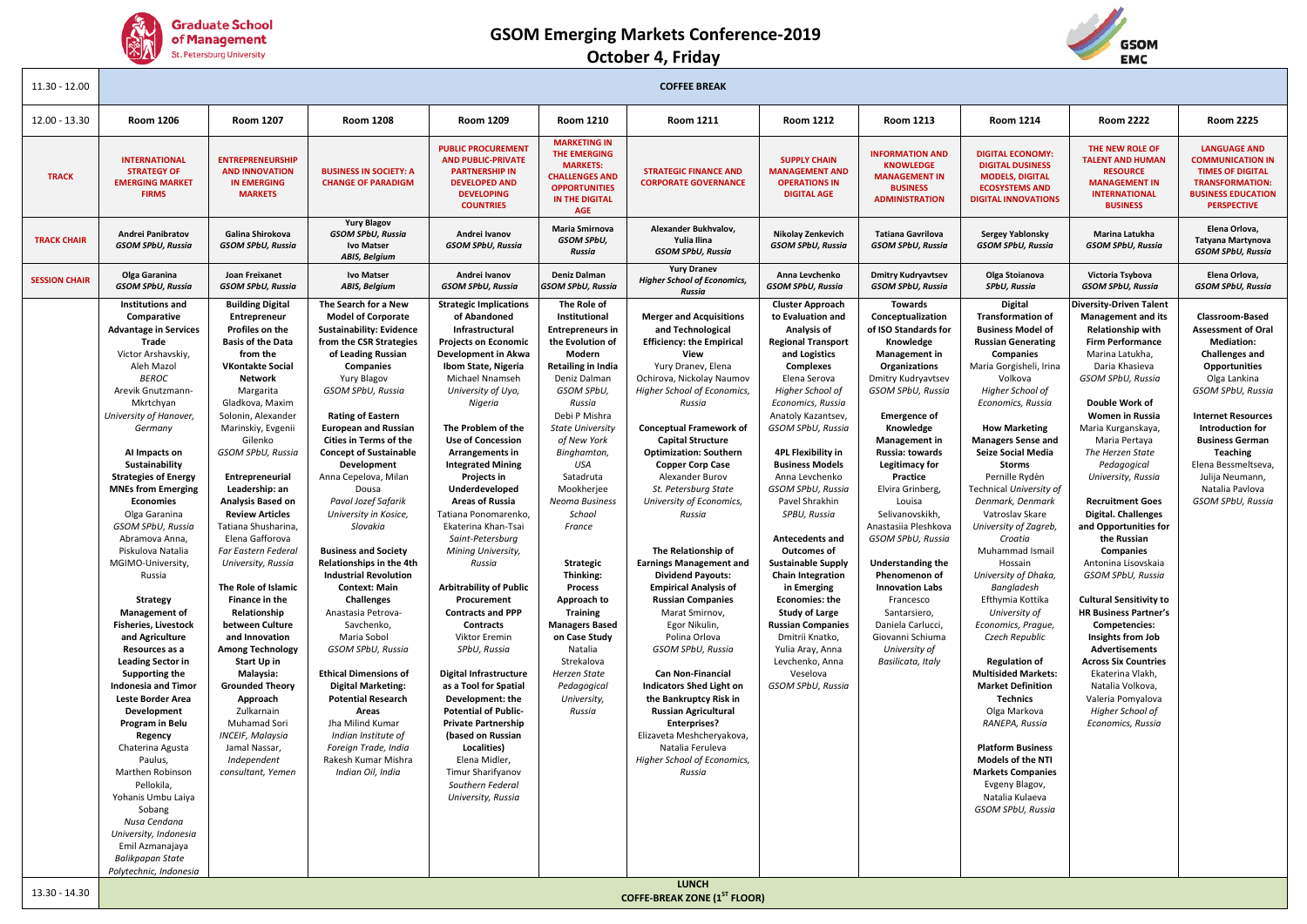





| $11.30 - 12.00$      |                                                                                                                                                                                                                                                                                                                                                                                                                                                                                                                                                                                                                                                                                                                                                                                                                                                                                                            |                                                                                                                                                                                                                                                                                                                                                                                                                                                                                                                                                                                                                                                                                                                                                 |                                                                                                                                                                                                                                                                                                                                                                                                                                                                                                                                                                                                                                                                                                                                                                                                                                                                          |                                                                                                                                                                                                                                                                                                                                                                                                                                                                                                                                                                                                                                                                                                                                                                                                                                                            |                                                                                                                                                                                                                                                                                                                                                                                                                                                                                                                | <b>COFFEE BREAK</b>                                                                                                                                                                                                                                                                                                                                                                                                                                                                                                                                                                                                                                                                                                                                                                                                                                                                       |                                                                                                                                                                                                                                                                                                                                                                                                                                                                                                                                                                                                                                                      |                                                                                                                                                                                                                                                                                                                                                                                                                                                                                                                                                     |                                                                                                                                                                                                                                                                                                                                                                                                                                                                                                                                                                                                                                                                                                                                                                                                                                                           |                                                                                                                                                                                                                                                                                                                                                                                                                                                                                                                                                                                                                                                                                                                                                          |                                                                                                                                                                                                                                                                                                                                         |
|----------------------|------------------------------------------------------------------------------------------------------------------------------------------------------------------------------------------------------------------------------------------------------------------------------------------------------------------------------------------------------------------------------------------------------------------------------------------------------------------------------------------------------------------------------------------------------------------------------------------------------------------------------------------------------------------------------------------------------------------------------------------------------------------------------------------------------------------------------------------------------------------------------------------------------------|-------------------------------------------------------------------------------------------------------------------------------------------------------------------------------------------------------------------------------------------------------------------------------------------------------------------------------------------------------------------------------------------------------------------------------------------------------------------------------------------------------------------------------------------------------------------------------------------------------------------------------------------------------------------------------------------------------------------------------------------------|--------------------------------------------------------------------------------------------------------------------------------------------------------------------------------------------------------------------------------------------------------------------------------------------------------------------------------------------------------------------------------------------------------------------------------------------------------------------------------------------------------------------------------------------------------------------------------------------------------------------------------------------------------------------------------------------------------------------------------------------------------------------------------------------------------------------------------------------------------------------------|------------------------------------------------------------------------------------------------------------------------------------------------------------------------------------------------------------------------------------------------------------------------------------------------------------------------------------------------------------------------------------------------------------------------------------------------------------------------------------------------------------------------------------------------------------------------------------------------------------------------------------------------------------------------------------------------------------------------------------------------------------------------------------------------------------------------------------------------------------|----------------------------------------------------------------------------------------------------------------------------------------------------------------------------------------------------------------------------------------------------------------------------------------------------------------------------------------------------------------------------------------------------------------------------------------------------------------------------------------------------------------|-------------------------------------------------------------------------------------------------------------------------------------------------------------------------------------------------------------------------------------------------------------------------------------------------------------------------------------------------------------------------------------------------------------------------------------------------------------------------------------------------------------------------------------------------------------------------------------------------------------------------------------------------------------------------------------------------------------------------------------------------------------------------------------------------------------------------------------------------------------------------------------------|------------------------------------------------------------------------------------------------------------------------------------------------------------------------------------------------------------------------------------------------------------------------------------------------------------------------------------------------------------------------------------------------------------------------------------------------------------------------------------------------------------------------------------------------------------------------------------------------------------------------------------------------------|-----------------------------------------------------------------------------------------------------------------------------------------------------------------------------------------------------------------------------------------------------------------------------------------------------------------------------------------------------------------------------------------------------------------------------------------------------------------------------------------------------------------------------------------------------|-----------------------------------------------------------------------------------------------------------------------------------------------------------------------------------------------------------------------------------------------------------------------------------------------------------------------------------------------------------------------------------------------------------------------------------------------------------------------------------------------------------------------------------------------------------------------------------------------------------------------------------------------------------------------------------------------------------------------------------------------------------------------------------------------------------------------------------------------------------|----------------------------------------------------------------------------------------------------------------------------------------------------------------------------------------------------------------------------------------------------------------------------------------------------------------------------------------------------------------------------------------------------------------------------------------------------------------------------------------------------------------------------------------------------------------------------------------------------------------------------------------------------------------------------------------------------------------------------------------------------------|-----------------------------------------------------------------------------------------------------------------------------------------------------------------------------------------------------------------------------------------------------------------------------------------------------------------------------------------|
| 12.00 - 13.30        | <b>Room 1206</b>                                                                                                                                                                                                                                                                                                                                                                                                                                                                                                                                                                                                                                                                                                                                                                                                                                                                                           | <b>Room 1207</b>                                                                                                                                                                                                                                                                                                                                                                                                                                                                                                                                                                                                                                                                                                                                | <b>Room 1208</b>                                                                                                                                                                                                                                                                                                                                                                                                                                                                                                                                                                                                                                                                                                                                                                                                                                                         | Room 1209                                                                                                                                                                                                                                                                                                                                                                                                                                                                                                                                                                                                                                                                                                                                                                                                                                                  | <b>Room 1210</b>                                                                                                                                                                                                                                                                                                                                                                                                                                                                                               | <b>Room 1211</b>                                                                                                                                                                                                                                                                                                                                                                                                                                                                                                                                                                                                                                                                                                                                                                                                                                                                          | <b>Room 1212</b>                                                                                                                                                                                                                                                                                                                                                                                                                                                                                                                                                                                                                                     | <b>Room 1213</b>                                                                                                                                                                                                                                                                                                                                                                                                                                                                                                                                    | <b>Room 1214</b>                                                                                                                                                                                                                                                                                                                                                                                                                                                                                                                                                                                                                                                                                                                                                                                                                                          | <b>Room 2222</b>                                                                                                                                                                                                                                                                                                                                                                                                                                                                                                                                                                                                                                                                                                                                         | <b>Room 2225</b>                                                                                                                                                                                                                                                                                                                        |
| <b>TRACK</b>         | <b>INTERNATIONAL</b><br><b>STRATEGY OF</b><br><b>EMERGING MARKET</b><br><b>FIRMS</b>                                                                                                                                                                                                                                                                                                                                                                                                                                                                                                                                                                                                                                                                                                                                                                                                                       | <b>ENTREPRENEURSHIP</b><br><b>AND INNOVATION</b><br><b>IN EMERGING</b><br><b>MARKETS</b>                                                                                                                                                                                                                                                                                                                                                                                                                                                                                                                                                                                                                                                        | <b>BUSINESS IN SOCIETY: A</b><br><b>CHANGE OF PARADIGM</b>                                                                                                                                                                                                                                                                                                                                                                                                                                                                                                                                                                                                                                                                                                                                                                                                               | <b>PUBLIC PROCUREMENT</b><br><b>AND PUBLIC-PRIVATE</b><br><b>PARTNERSHIP IN</b><br><b>DEVELOPED AND</b><br><b>DEVELOPING</b><br><b>COUNTRIES</b>                                                                                                                                                                                                                                                                                                                                                                                                                                                                                                                                                                                                                                                                                                           | <b>MARKETING IN</b><br><b>THE EMERGING</b><br><b>MARKETS:</b><br><b>CHALLENGES AND</b><br><b>OPPORTUNITIES</b><br>IN THE DIGITAL<br>AGE                                                                                                                                                                                                                                                                                                                                                                        | <b>STRATEGIC FINANCE AND</b><br><b>CORPORATE GOVERNANCE</b>                                                                                                                                                                                                                                                                                                                                                                                                                                                                                                                                                                                                                                                                                                                                                                                                                               | <b>SUPPLY CHAIN</b><br><b>MANAGEMENT AND</b><br><b>OPERATIONS IN</b><br><b>DIGITAL AGE</b>                                                                                                                                                                                                                                                                                                                                                                                                                                                                                                                                                           | <b>INFORMATION AND</b><br><b>KNOWLEDGE</b><br><b>MANAGEMENT IN</b><br><b>BUSINESS</b><br><b>ADMINISTRATION</b>                                                                                                                                                                                                                                                                                                                                                                                                                                      | <b>DIGITAL ECONOMY:</b><br><b>DIGITAL DUSINESS</b><br><b>MODELS, DIGITAL</b><br><b>ECOSYSTEMS AND</b><br><b>DIGITAL INNOVATIONS</b>                                                                                                                                                                                                                                                                                                                                                                                                                                                                                                                                                                                                                                                                                                                       | THE NEW ROLE OF<br><b>TALENT AND HUMAN</b><br><b>RESOURCE</b><br><b>MANAGEMENT IN</b><br><b>INTERNATIONAL</b><br><b>BUSINESS</b>                                                                                                                                                                                                                                                                                                                                                                                                                                                                                                                                                                                                                         | <b>LANGUAGE AND</b><br><b>COMMUNICATION IN</b><br><b>TIMES OF DIGITAL</b><br><b>TRANSFORMATION:</b><br><b>BUSINESS EDUCATION</b><br><b>PERSPECTIVE</b>                                                                                                                                                                                  |
| <b>TRACK CHAIR</b>   | <b>Andrei Panibratov</b><br><b>GSOM SPbU, Russia</b>                                                                                                                                                                                                                                                                                                                                                                                                                                                                                                                                                                                                                                                                                                                                                                                                                                                       | Galina Shirokova<br><b>GSOM SPbU, Russia</b>                                                                                                                                                                                                                                                                                                                                                                                                                                                                                                                                                                                                                                                                                                    | <b>Yury Blagov</b><br><b>GSOM SPbU, Russia</b><br><b>Ivo Matser</b><br>ABIS, Belgium                                                                                                                                                                                                                                                                                                                                                                                                                                                                                                                                                                                                                                                                                                                                                                                     | Andrei Ivanov<br><b>GSOM SPbU, Russia</b>                                                                                                                                                                                                                                                                                                                                                                                                                                                                                                                                                                                                                                                                                                                                                                                                                  | Maria Smirnova<br>GSOM SPbU,<br>Russia                                                                                                                                                                                                                                                                                                                                                                                                                                                                         | Alexander Bukhvalov,<br>Yulia Ilina<br><b>GSOM SPbU, Russia</b>                                                                                                                                                                                                                                                                                                                                                                                                                                                                                                                                                                                                                                                                                                                                                                                                                           | Nikolay Zenkevich<br><b>GSOM SPbU, Russia</b>                                                                                                                                                                                                                                                                                                                                                                                                                                                                                                                                                                                                        | <b>Tatiana Gavrilova</b><br><b>GSOM SPbU, Russia</b>                                                                                                                                                                                                                                                                                                                                                                                                                                                                                                | <b>Sergey Yablonsky</b><br><b>GSOM SPbU, Russia</b>                                                                                                                                                                                                                                                                                                                                                                                                                                                                                                                                                                                                                                                                                                                                                                                                       | Marina Latukha<br><b>GSOM SPbU, Russia</b>                                                                                                                                                                                                                                                                                                                                                                                                                                                                                                                                                                                                                                                                                                               | Elena Orlova,<br>Tatyana Martynova<br><b>GSOM SPbU, Russia</b>                                                                                                                                                                                                                                                                          |
| <b>SESSION CHAIR</b> | Olga Garanina<br><b>GSOM SPbU, Russia</b>                                                                                                                                                                                                                                                                                                                                                                                                                                                                                                                                                                                                                                                                                                                                                                                                                                                                  | Joan Freixanet<br><b>GSOM SPbU, Russia</b>                                                                                                                                                                                                                                                                                                                                                                                                                                                                                                                                                                                                                                                                                                      | <b>Ivo Matser</b><br><b>ABIS, Belgium</b>                                                                                                                                                                                                                                                                                                                                                                                                                                                                                                                                                                                                                                                                                                                                                                                                                                | Andrei Ivanov<br><b>GSOM SPbU, Russia</b>                                                                                                                                                                                                                                                                                                                                                                                                                                                                                                                                                                                                                                                                                                                                                                                                                  | Deniz Dalman<br>GSOM SPbU, Russia                                                                                                                                                                                                                                                                                                                                                                                                                                                                              | <b>Yury Dranev</b><br><b>Higher School of Economics,</b><br>Russia                                                                                                                                                                                                                                                                                                                                                                                                                                                                                                                                                                                                                                                                                                                                                                                                                        | Anna Levchenko<br><b>GSOM SPbU, Russia</b>                                                                                                                                                                                                                                                                                                                                                                                                                                                                                                                                                                                                           | <b>Dmitry Kudryavtsev</b><br>GSOM SPbU, Russia                                                                                                                                                                                                                                                                                                                                                                                                                                                                                                      | Olga Stoianova<br><b>SPbU, Russia</b>                                                                                                                                                                                                                                                                                                                                                                                                                                                                                                                                                                                                                                                                                                                                                                                                                     | Victoria Tsybova<br><b>GSOM SPbU, Russia</b>                                                                                                                                                                                                                                                                                                                                                                                                                                                                                                                                                                                                                                                                                                             | Elena Orlova,<br><b>GSOM SPbU, Russia</b>                                                                                                                                                                                                                                                                                               |
|                      | Institutions and<br>Comparative<br><b>Advantage in Services</b><br>Trade<br>Victor Arshavskiy,<br>Aleh Mazol<br><b>BEROC</b><br>Arevik Gnutzmann-<br>Mkrtchyan<br>University of Hanover,<br>Germany<br>Al Impacts on<br>Sustainability<br><b>Strategies of Energy</b><br><b>MNEs from Emerging</b><br>Economies<br>Olga Garanina<br>GSOM SPbU, Russia<br>Abramova Anna,<br>Piskulova Natalia<br>MGIMO-University,<br>Russia<br><b>Strategy</b><br><b>Management of</b><br><b>Fisheries, Livestock</b><br>and Agriculture<br>Resources as a<br><b>Leading Sector in</b><br><b>Supporting the</b><br><b>Indonesia and Timor</b><br>Leste Border Area<br>Development<br>Program in Belu<br>Regency<br>Chaterina Agusta<br>Paulus,<br>Marthen Robinson<br>Pellokila,<br>Yohanis Umbu Laiya<br>Sobang<br>Nusa Cendana<br>University, Indonesia<br>Emil Azmanajaya<br>Balikpapan State<br>Polytechnic, Indonesia | <b>Building Digital</b><br>Entrepreneur<br>Profiles on the<br><b>Basis of the Data</b><br>from the<br><b>VKontakte Social</b><br>Network<br>Margarita<br>Gladkova, Maxim<br>Solonin, Alexander<br>Marinskiy, Evgenii<br>Gilenko<br>GSOM SPbU, Russia<br>Entrepreneurial<br>Leadership: an<br>Analysis Based on<br><b>Review Articles</b><br>Tatiana Shusharina,<br>Elena Gafforova<br>Far Eastern Federal<br>University, Russia<br>The Role of Islamic<br>Finance in the<br>Relationship<br>between Culture<br>and Innovation<br><b>Among Technology</b><br><b>Start Up in</b><br>Malaysia:<br><b>Grounded Theory</b><br>Approach<br>Zulkarnain<br>Muhamad Sori<br><b>INCEIF, Malaysia</b><br>Jamal Nassar,<br>Independent<br>consultant, Yemen | The Search for a New<br><b>Model of Corporate</b><br><b>Sustainability: Evidence</b><br>from the CSR Strategies<br>of Leading Russian<br>Companies<br>Yury Blagov<br><b>GSOM SPbU, Russia</b><br><b>Rating of Eastern</b><br><b>European and Russian</b><br><b>Cities in Terms of the</b><br><b>Concept of Sustainable</b><br>Development<br>Anna Cepelova, Milan<br>Dousa<br>Pavol Jozef Safarik<br>University in Kosice,<br>Slovakia<br><b>Business and Society</b><br>Relationships in the 4th<br><b>Industrial Revolution</b><br><b>Context: Main</b><br><b>Challenges</b><br>Anastasia Petrova-<br>Savchenko,<br>Maria Sobol<br>GSOM SPbU, Russia<br><b>Ethical Dimensions of</b><br><b>Digital Marketing:</b><br><b>Potential Research</b><br>Areas<br>Jha Milind Kumar<br>Indian Institute of<br>Foreign Trade, India<br>Rakesh Kumar Mishra<br>Indian Oil, India | <b>Strategic Implications</b><br>of Abandoned<br>Infrastructural<br><b>Projects on Economic</b><br>Development in Akwa<br>Ibom State, Nigeria<br>Michael Nnamseh<br>University of Uyo,<br>Nigeria<br>The Problem of the<br><b>Use of Concession</b><br>Arrangements in<br><b>Integrated Mining</b><br>Projects in<br>Underdeveloped<br><b>Areas of Russia</b><br>Tatiana Ponomarenko,<br>Ekaterina Khan-Tsai<br>Saint-Petersburg<br>Mining University,<br>Russia<br><b>Arbitrability of Public</b><br>Procurement<br><b>Contracts and PPP</b><br>Contracts<br>Viktor Eremin<br>SPbU, Russia<br><b>Digital Infrastructure</b><br>as a Tool for Spatial<br>Development: the<br><b>Potential of Public-</b><br><b>Private Partnership</b><br>(based on Russian<br>Localities)<br>Elena Midler.<br>Timur Sharifyanov<br>Southern Federal<br>University, Russia | The Role of<br>Institutional<br><b>Entrepreneurs in</b><br>the Evolution of<br>Modern<br>Retailing in India<br>Deniz Dalman<br>GSOM SPbU,<br>Russia<br>Debi P Mishra<br><b>State University</b><br>of New York<br>Binghamton,<br>USA<br>Satadruta<br>Mookherjee<br>Neoma Business<br>School<br>France<br>Strategic<br>Thinking:<br><b>Process</b><br>Approach to<br><b>Training</b><br><b>Managers Based</b><br>on Case Study<br>Natalia<br>Strekalova<br>Herzen State<br>Pedagogical<br>University,<br>Russia | <b>Merger and Acquisitions</b><br>and Technological<br><b>Efficiency: the Empirical</b><br>View<br>Yury Dranev, Elena<br>Ochirova, Nickolay Naumov<br>Higher School of Economics,<br>Russia<br><b>Conceptual Framework of</b><br><b>Capital Structure</b><br><b>Optimization: Southern</b><br><b>Copper Corp Case</b><br>Alexander Burov<br>St. Petersburg State<br>University of Economics,<br>Russia<br>The Relationship of<br><b>Earnings Management and</b><br><b>Dividend Payouts:</b><br><b>Empirical Analysis of</b><br><b>Russian Companies</b><br>Marat Smirnov,<br>Egor Nikulin,<br>Polina Orlova<br>GSOM SPbU, Russia<br><b>Can Non-Financial</b><br><b>Indicators Shed Light on</b><br>the Bankruptcy Risk in<br><b>Russian Agricultural</b><br><b>Enterprises?</b><br>Elizaveta Meshcheryakova,<br>Natalia Feruleva<br>Higher School of Economics,<br>Russia<br><b>LUNCH</b> | <b>Cluster Approach</b><br>to Evaluation and<br>Analysis of<br><b>Regional Transport</b><br>and Logistics<br>Complexes<br>Elena Serova<br>Higher School of<br>Economics, Russia<br>Anatoly Kazantsev,<br>GSOM SPbU, Russia<br><b>4PL Flexibility in</b><br><b>Business Models</b><br>Anna Levchenko<br>GSOM SPbU, Russia<br>Pavel Shrakhin<br>SPBU, Russia<br>Antecedents and<br><b>Outcomes of</b><br><b>Sustainable Supply</b><br><b>Chain Integration</b><br>in Emerging<br><b>Economies: the</b><br><b>Study of Large</b><br><b>Russian Companies</b><br>Dmitrii Knatko,<br>Yulia Aray, Anna<br>Levchenko, Anna<br>Veselova<br>GSOM SPbU, Russia | <b>Towards</b><br>Conceptualization<br>of ISO Standards for<br>Knowledge<br>Management in<br>Organizations<br>Dmitry Kudryavtsev<br>GSOM SPbU, Russia<br><b>Emergence of</b><br>Knowledge<br>Management in<br>Russia: towards<br><b>Legitimacy for</b><br>Practice<br>Elvira Grinberg,<br>Louisa<br>Selivanovskikh.<br>Anastasiia Pleshkova<br>GSOM SPbU, Russia<br><b>Understanding the</b><br>Phenomenon of<br><b>Innovation Labs</b><br>Francesco<br>Santarsiero,<br>Daniela Carlucci,<br>Giovanni Schiuma<br>University of<br>Basilicata, Italy | <b>Digital</b><br><b>Transformation of</b><br><b>Business Model of</b><br><b>Russian Generating</b><br>Companies<br>Maria Gorgisheli, Irina<br>Volkova<br>Higher School of<br>Economics, Russia<br><b>How Marketing</b><br><b>Managers Sense and</b><br><b>Seize Social Media</b><br>Storms<br>Pernille Rydén<br>Technical University of<br>Denmark, Denmark<br>Vatroslav Skare<br>University of Zagreb,<br>Croatia<br>Muhammad Ismail<br>Hossain<br>University of Dhaka,<br>Bangladesh<br>Efthymia Kottika<br>University of<br>Economics, Prague,<br>Czech Republic<br><b>Regulation of</b><br><b>Multisided Markets:</b><br><b>Market Definition</b><br><b>Technics</b><br>Olga Markova<br>RANEPA, Russia<br><b>Platform Business</b><br><b>Models of the NTI</b><br><b>Markets Companies</b><br>Evgeny Blagov,<br>Natalia Kulaeva<br>GSOM SPbU, Russia | <b>Diversity-Driven Talent</b><br><b>Management and its</b><br><b>Relationship with</b><br><b>Firm Performance</b><br>Marina Latukha,<br>Daria Khasieva<br>GSOM SPbU, Russia<br>Double Work of<br><b>Women in Russia</b><br>Maria Kurganskaya,<br>Maria Pertaya<br>The Herzen State<br>Pedagogical<br>University, Russia<br><b>Recruitment Goes</b><br><b>Digital. Challenges</b><br>and Opportunities for<br>the Russian<br>Companies<br>Antonina Lisovskaia<br>GSOM SPbU, Russia<br><b>Cultural Sensitivity to</b><br><b>HR Business Partner's</b><br>Competencies:<br>Insights from Job<br><b>Advertisements</b><br><b>Across Six Countries</b><br>Ekaterina Vlakh,<br>Natalia Volkova,<br>Valeria Pomyalova<br>Higher School of<br>Economics, Russia | <b>Classroom-Based</b><br><b>Assessment of Oral</b><br><b>Mediation:</b><br><b>Challenges and</b><br>Opportunities<br>Olga Lankina<br>GSOM SPbU, Russia<br><b>Internet Resources</b><br>Introduction for<br><b>Business German</b><br><b>Teaching</b><br>Elena Bessmeltseva,<br>Julija Neumann,<br>Natalia Pavlova<br>GSOM SPbU, Russia |
| 13.30 - 14.30        |                                                                                                                                                                                                                                                                                                                                                                                                                                                                                                                                                                                                                                                                                                                                                                                                                                                                                                            |                                                                                                                                                                                                                                                                                                                                                                                                                                                                                                                                                                                                                                                                                                                                                 |                                                                                                                                                                                                                                                                                                                                                                                                                                                                                                                                                                                                                                                                                                                                                                                                                                                                          |                                                                                                                                                                                                                                                                                                                                                                                                                                                                                                                                                                                                                                                                                                                                                                                                                                                            |                                                                                                                                                                                                                                                                                                                                                                                                                                                                                                                | <b>COFFE-BREAK ZONE (1ST FLOOR)</b>                                                                                                                                                                                                                                                                                                                                                                                                                                                                                                                                                                                                                                                                                                                                                                                                                                                       |                                                                                                                                                                                                                                                                                                                                                                                                                                                                                                                                                                                                                                                      |                                                                                                                                                                                                                                                                                                                                                                                                                                                                                                                                                     |                                                                                                                                                                                                                                                                                                                                                                                                                                                                                                                                                                                                                                                                                                                                                                                                                                                           |                                                                                                                                                                                                                                                                                                                                                                                                                                                                                                                                                                                                                                                                                                                                                          |                                                                                                                                                                                                                                                                                                                                         |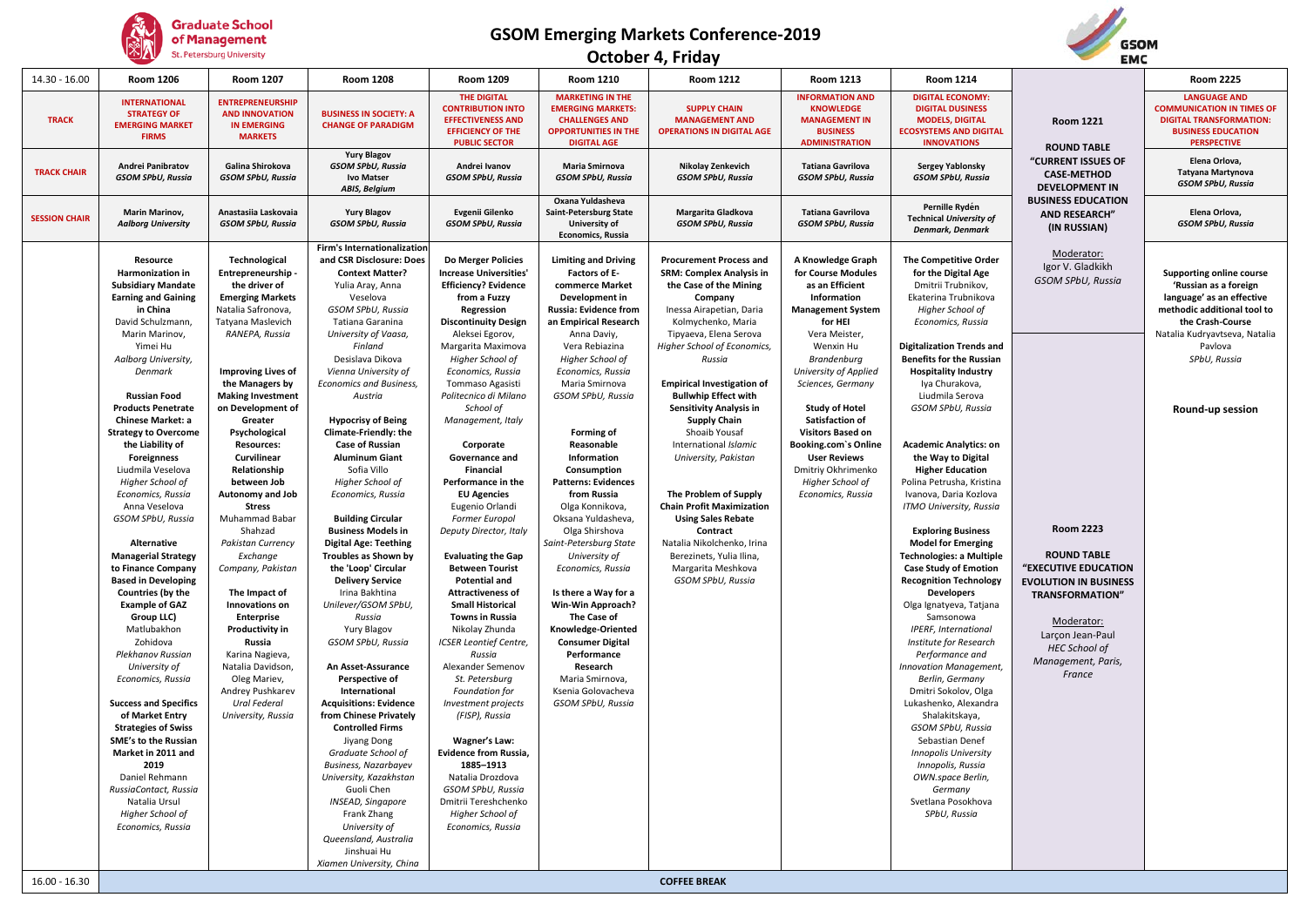

#### **October 4, Friday**



| 14.30 - 16.00        | <b>Room 1206</b>                                                                                                                                                                                                                                                                                                                                                                                                                                                                                                                                                                                                                                                                                                                                                                                                                                                                                                                                     | <b>Room 1207</b>                                                                                                                                                                                                                                                                                                                                                                                                                                                                                                                                                                                                                                                     | <b>Room 1208</b>                                                                                                                                                                                                                                                                                                                                                                                                                                                                                                                                                                                                                                                                                                                                                                                                                                                                                                                                                                                                                                                                                             | Room 1209                                                                                                                                                                                                                                                                                                                                                                                                                                                                                                                                                                                                                                                                                                                                                                                                                                                                                                                                                                                   | <b>Room 1210</b>                                                                                                                                                                                                                                                                                                                                                                                                                                                                                                                                                                                                                                                                                    | <b>Room 1212</b>                                                                                                                                                                                                                                                                                                                                                                                                                                                                                                                                                                                                                      | <b>Room 1213</b>                                                                                                                                                                                                                                                                                                                                                                                  | <b>Room 1214</b>                                                                                                                                                                                                                                                                                                                                                                                                                                                                                                                                                                                                                                                                                                                                                                                                                                                                                                                                                                                                                                                        |                                                                                                                                                                                                                                                                            | <b>Room 2225</b>                                                                                                                                                                                                  |
|----------------------|------------------------------------------------------------------------------------------------------------------------------------------------------------------------------------------------------------------------------------------------------------------------------------------------------------------------------------------------------------------------------------------------------------------------------------------------------------------------------------------------------------------------------------------------------------------------------------------------------------------------------------------------------------------------------------------------------------------------------------------------------------------------------------------------------------------------------------------------------------------------------------------------------------------------------------------------------|----------------------------------------------------------------------------------------------------------------------------------------------------------------------------------------------------------------------------------------------------------------------------------------------------------------------------------------------------------------------------------------------------------------------------------------------------------------------------------------------------------------------------------------------------------------------------------------------------------------------------------------------------------------------|--------------------------------------------------------------------------------------------------------------------------------------------------------------------------------------------------------------------------------------------------------------------------------------------------------------------------------------------------------------------------------------------------------------------------------------------------------------------------------------------------------------------------------------------------------------------------------------------------------------------------------------------------------------------------------------------------------------------------------------------------------------------------------------------------------------------------------------------------------------------------------------------------------------------------------------------------------------------------------------------------------------------------------------------------------------------------------------------------------------|---------------------------------------------------------------------------------------------------------------------------------------------------------------------------------------------------------------------------------------------------------------------------------------------------------------------------------------------------------------------------------------------------------------------------------------------------------------------------------------------------------------------------------------------------------------------------------------------------------------------------------------------------------------------------------------------------------------------------------------------------------------------------------------------------------------------------------------------------------------------------------------------------------------------------------------------------------------------------------------------|-----------------------------------------------------------------------------------------------------------------------------------------------------------------------------------------------------------------------------------------------------------------------------------------------------------------------------------------------------------------------------------------------------------------------------------------------------------------------------------------------------------------------------------------------------------------------------------------------------------------------------------------------------------------------------------------------------|---------------------------------------------------------------------------------------------------------------------------------------------------------------------------------------------------------------------------------------------------------------------------------------------------------------------------------------------------------------------------------------------------------------------------------------------------------------------------------------------------------------------------------------------------------------------------------------------------------------------------------------|---------------------------------------------------------------------------------------------------------------------------------------------------------------------------------------------------------------------------------------------------------------------------------------------------------------------------------------------------------------------------------------------------|-------------------------------------------------------------------------------------------------------------------------------------------------------------------------------------------------------------------------------------------------------------------------------------------------------------------------------------------------------------------------------------------------------------------------------------------------------------------------------------------------------------------------------------------------------------------------------------------------------------------------------------------------------------------------------------------------------------------------------------------------------------------------------------------------------------------------------------------------------------------------------------------------------------------------------------------------------------------------------------------------------------------------------------------------------------------------|----------------------------------------------------------------------------------------------------------------------------------------------------------------------------------------------------------------------------------------------------------------------------|-------------------------------------------------------------------------------------------------------------------------------------------------------------------------------------------------------------------|
| <b>TRACK</b>         | <b>INTERNATIONAL</b><br><b>STRATEGY OF</b><br><b>EMERGING MARKET</b><br><b>FIRMS</b>                                                                                                                                                                                                                                                                                                                                                                                                                                                                                                                                                                                                                                                                                                                                                                                                                                                                 | <b>ENTREPRENEURSHIP</b><br><b>AND INNOVATION</b><br><b>IN EMERGING</b><br><b>MARKETS</b>                                                                                                                                                                                                                                                                                                                                                                                                                                                                                                                                                                             | <b>BUSINESS IN SOCIETY: A</b><br><b>CHANGE OF PARADIGM</b>                                                                                                                                                                                                                                                                                                                                                                                                                                                                                                                                                                                                                                                                                                                                                                                                                                                                                                                                                                                                                                                   | <b>THE DIGITAL</b><br><b>CONTRIBUTION INTO</b><br><b>EFFECTIVENESS AND</b><br><b>EFFICIENCY OF THE</b><br><b>PUBLIC SECTOR</b>                                                                                                                                                                                                                                                                                                                                                                                                                                                                                                                                                                                                                                                                                                                                                                                                                                                              | <b>MARKETING IN THE</b><br><b>EMERGING MARKETS:</b><br><b>CHALLENGES AND</b><br><b>OPPORTUNITIES IN THE</b><br><b>DIGITAL AGE</b>                                                                                                                                                                                                                                                                                                                                                                                                                                                                                                                                                                   | <b>SUPPLY CHAIN</b><br><b>MANAGEMENT AND</b><br><b>OPERATIONS IN DIGITAL AGE</b>                                                                                                                                                                                                                                                                                                                                                                                                                                                                                                                                                      | <b>INFORMATION AND</b><br><b>KNOWLEDGE</b><br><b>MANAGEMENT IN</b><br><b>BUSINESS</b><br><b>ADMINISTRATION</b>                                                                                                                                                                                                                                                                                    | <b>DIGITAL ECONOMY:</b><br><b>DIGITAL DUSINESS</b><br><b>MODELS, DIGITAL</b><br><b>ECOSYSTEMS AND DIGITAL</b><br><b>INNOVATIONS</b>                                                                                                                                                                                                                                                                                                                                                                                                                                                                                                                                                                                                                                                                                                                                                                                                                                                                                                                                     | <b>Room 1221</b><br><b>ROUND TABLE</b>                                                                                                                                                                                                                                     | <b>LANGUAGE AND</b><br><b>COMMUNICATION IN TIMES OF</b><br><b>DIGITAL TRANSFORMATION:</b><br><b>BUSINESS EDUCATION</b><br><b>PERSPECTIVE</b>                                                                      |
| <b>TRACK CHAIR</b>   | <b>Andrei Panibratov</b><br><b>GSOM SPbU, Russia</b>                                                                                                                                                                                                                                                                                                                                                                                                                                                                                                                                                                                                                                                                                                                                                                                                                                                                                                 | Galina Shirokova<br><b>GSOM SPbU, Russia</b>                                                                                                                                                                                                                                                                                                                                                                                                                                                                                                                                                                                                                         | <b>Yury Blagov</b><br><b>GSOM SPbU, Russia</b><br><b>Ivo Matser</b><br><b>ABIS, Belgium</b>                                                                                                                                                                                                                                                                                                                                                                                                                                                                                                                                                                                                                                                                                                                                                                                                                                                                                                                                                                                                                  | Andrei Ivanov<br><b>GSOM SPbU, Russia</b>                                                                                                                                                                                                                                                                                                                                                                                                                                                                                                                                                                                                                                                                                                                                                                                                                                                                                                                                                   | <b>Maria Smirnova</b><br><b>GSOM SPbU, Russia</b>                                                                                                                                                                                                                                                                                                                                                                                                                                                                                                                                                                                                                                                   | Nikolay Zenkevich<br><b>GSOM SPbU, Russia</b>                                                                                                                                                                                                                                                                                                                                                                                                                                                                                                                                                                                         | <b>Tatiana Gavrilova</b><br><b>GSOM SPbU, Russia</b>                                                                                                                                                                                                                                                                                                                                              | Sergey Yablonsky<br><b>GSOM SPbU, Russia</b>                                                                                                                                                                                                                                                                                                                                                                                                                                                                                                                                                                                                                                                                                                                                                                                                                                                                                                                                                                                                                            | "CURRENT ISSUES OF<br><b>CASE-METHOD</b><br><b>DEVELOPMENT IN</b>                                                                                                                                                                                                          | Elena Orlova,<br>Tatyana Martynova<br>GSOM SPbU, Russia                                                                                                                                                           |
| <b>SESSION CHAIR</b> | Marin Marinov,<br><b>Aalborg University</b>                                                                                                                                                                                                                                                                                                                                                                                                                                                                                                                                                                                                                                                                                                                                                                                                                                                                                                          | Anastasiia Laskovaia<br><b>GSOM SPbU, Russia</b>                                                                                                                                                                                                                                                                                                                                                                                                                                                                                                                                                                                                                     | <b>Yury Blagov</b><br><b>GSOM SPbU, Russia</b>                                                                                                                                                                                                                                                                                                                                                                                                                                                                                                                                                                                                                                                                                                                                                                                                                                                                                                                                                                                                                                                               | Evgenii Gilenko<br><b>GSOM SPbU, Russia</b>                                                                                                                                                                                                                                                                                                                                                                                                                                                                                                                                                                                                                                                                                                                                                                                                                                                                                                                                                 | Oxana Yuldasheva<br>Saint-Petersburg State<br>University of<br><b>Economics, Russia</b>                                                                                                                                                                                                                                                                                                                                                                                                                                                                                                                                                                                                             | Margarita Gladkova<br><b>GSOM SPbU, Russia</b>                                                                                                                                                                                                                                                                                                                                                                                                                                                                                                                                                                                        | <b>Tatiana Gavrilova</b><br><b>GSOM SPbU, Russia</b>                                                                                                                                                                                                                                                                                                                                              | Pernille Rydén<br><b>Technical University of</b><br><b>Denmark, Denmark</b>                                                                                                                                                                                                                                                                                                                                                                                                                                                                                                                                                                                                                                                                                                                                                                                                                                                                                                                                                                                             | <b>BUSINESS EDUCATION</b><br>AND RESEARCH"<br>(IN RUSSIAN)                                                                                                                                                                                                                 | Elena Orlova,<br><b>GSOM SPbU, Russia</b>                                                                                                                                                                         |
|                      | Resource<br>Harmonization in<br><b>Subsidiary Mandate</b><br><b>Earning and Gaining</b><br>in China<br>David Schulzmann,<br>Marin Marinov,<br>Yimei Hu<br>Aalborg University,<br>Denmark<br><b>Russian Food</b><br><b>Products Penetrate</b><br>Chinese Market: a<br><b>Strategy to Overcome</b><br>the Liability of<br><b>Foreignness</b><br>Liudmila Veselova<br>Higher School of<br>Economics, Russia<br>Anna Veselova<br>GSOM SPbU, Russia<br>Alternative<br><b>Managerial Strategy</b><br>to Finance Company<br><b>Based in Developing</b><br><b>Countries (by the</b><br><b>Example of GAZ</b><br>Group LLC)<br>Matlubakhon<br>Zohidova<br>Plekhanov Russian<br>University of<br>Economics, Russia<br><b>Success and Specifics</b><br>of Market Entry<br><b>Strategies of Swiss</b><br>SME's to the Russian<br>Market in 2011 and<br>2019<br>Daniel Rehmann<br>RussiaContact, Russia<br>Natalia Ursul<br>Higher School of<br>Economics, Russia | Technological<br>Entrepreneurship -<br>the driver of<br><b>Emerging Markets</b><br>Natalia Safronova,<br>Tatyana Maslevich<br>RANEPA, Russia<br><b>Improving Lives of</b><br>the Managers by<br><b>Making Investment</b><br>on Development of<br>Greater<br>Psychological<br><b>Resources:</b><br>Curvilinear<br>Relationship<br>between Job<br>Autonomy and Job<br><b>Stress</b><br>Muhammad Babar<br>Shahzad<br>Pakistan Currency<br>Exchange<br>Company, Pakistan<br>The Impact of<br>Innovations on<br>Enterprise<br>Productivity in<br>Russia<br>Karina Nagieva,<br>Natalia Davidson,<br>Oleg Mariev,<br>Andrey Pushkarev<br>Ural Federal<br>University, Russia | Firm's Internationalization<br>and CSR Disclosure: Does<br><b>Context Matter?</b><br>Yulia Aray, Anna<br>Veselova<br>GSOM SPbU, Russia<br>Tatiana Garanina<br>University of Vaasa,<br>Finland<br>Desislava Dikova<br>Vienna University of<br><b>Economics and Business,</b><br>Austria<br><b>Hypocrisy of Being</b><br>Climate-Friendly: the<br><b>Case of Russian</b><br><b>Aluminum Giant</b><br>Sofia Villo<br>Higher School of<br>Economics, Russia<br><b>Building Circular</b><br><b>Business Models in</b><br><b>Digital Age: Teething</b><br>Troubles as Shown by<br>the 'Loop' Circular<br><b>Delivery Service</b><br>Irina Bakhtina<br>Unilever/GSOM SPbU,<br>Russia<br><b>Yury Blagov</b><br>GSOM SPbU, Russia<br>An Asset-Assurance<br>Perspective of<br>International<br><b>Acquisitions: Evidence</b><br>from Chinese Privately<br><b>Controlled Firms</b><br>Jiyang Dong<br>Graduate School of<br>Business, Nazarbayev<br>University, Kazakhstan<br>Guoli Chen<br><b>INSEAD, Singapore</b><br>Frank Zhang<br>University of<br>Queensland, Australia<br>Jinshuai Hu<br>Xiamen University, China | <b>Do Merger Policies</b><br><b>Increase Universities</b><br><b>Efficiency? Evidence</b><br>from a Fuzzy<br>Regression<br><b>Discontinuity Design</b><br>Aleksei Egorov,<br>Margarita Maximova<br>Higher School of<br>Economics, Russia<br>Tommaso Agasisti<br>Politecnico di Milano<br>School of<br>Management, Italy<br>Corporate<br>Governance and<br>Financial<br>Performance in the<br><b>EU Agencies</b><br>Eugenio Orlandi<br>Former Europol<br>Deputy Director, Italy<br><b>Evaluating the Gap</b><br><b>Between Tourist</b><br><b>Potential and</b><br><b>Attractiveness of</b><br><b>Small Historical</b><br><b>Towns in Russia</b><br>Nikolay Zhunda<br><b>ICSER Leontief Centre,</b><br>Russia<br>Alexander Semenov<br>St. Petersburg<br><b>Foundation for</b><br>Investment projects<br>(FISP), Russia<br>Wagner's Law:<br><b>Evidence from Russia,</b><br>1885-1913<br>Natalia Drozdova<br>GSOM SPbU, Russia<br>Dmitrii Tereshchenko<br>Higher School of<br>Economics, Russia | <b>Limiting and Driving</b><br>Factors of E-<br>commerce Market<br>Development in<br>Russia: Evidence from<br>an Empirical Research<br>Anna Daviy,<br>Vera Rebiazina<br>Higher School of<br>Economics, Russia<br>Maria Smirnova<br>GSOM SPbU, Russia<br><b>Forming of</b><br>Reasonable<br>Information<br>Consumption<br><b>Patterns: Evidences</b><br>from Russia<br>Olga Konnikova,<br>Oksana Yuldasheva,<br>Olga Shirshova<br>Saint-Petersburg State<br>University of<br>Economics, Russia<br>Is there a Way for a<br>Win-Win Approach?<br>The Case of<br>Knowledge-Oriented<br><b>Consumer Digital</b><br>Performance<br>Research<br>Maria Smirnova,<br>Ksenia Golovacheva<br>GSOM SPbU, Russia | <b>Procurement Process and</b><br><b>SRM: Complex Analysis in</b><br>the Case of the Mining<br>Company<br>Inessa Airapetian, Daria<br>Kolmychenko, Maria<br>Tipyaeva, Elena Serova<br>Higher School of Economics,<br>Russia<br><b>Empirical Investigation of</b><br><b>Bullwhip Effect with</b><br><b>Sensitivity Analysis in</b><br><b>Supply Chain</b><br>Shoaib Yousaf<br>International Islamic<br>University, Pakistan<br>The Problem of Supply<br><b>Chain Profit Maximization</b><br><b>Using Sales Rebate</b><br>Contract<br>Natalia Nikolchenko, Irina<br>Berezinets, Yulia Ilina,<br>Margarita Meshkova<br>GSOM SPbU, Russia | A Knowledge Graph<br>for Course Modules<br>as an Efficient<br>Information<br><b>Management System</b><br>for HEI<br>Vera Meister,<br>Wenxin Hu<br>Brandenburg<br>University of Applied<br>Sciences, Germany<br><b>Study of Hotel</b><br>Satisfaction of<br><b>Visitors Based on</b><br>Booking.com's Online<br><b>User Reviews</b><br>Dmitriy Okhrimenko<br>Higher School of<br>Economics, Russia | <b>The Competitive Order</b><br>for the Digital Age<br>Dmitrii Trubnikov,<br>Ekaterina Trubnikova<br>Higher School of<br>Economics, Russia<br><b>Digitalization Trends and</b><br><b>Benefits for the Russian</b><br><b>Hospitality Industry</b><br>Iya Churakova,<br>Liudmila Serova<br>GSOM SPbU, Russia<br><b>Academic Analytics: on</b><br>the Way to Digital<br><b>Higher Education</b><br>Polina Petrusha, Kristina<br>Ivanova, Daria Kozlova<br><b>ITMO University, Russia</b><br><b>Exploring Business</b><br><b>Model for Emerging</b><br><b>Technologies: a Multiple</b><br><b>Case Study of Emotion</b><br><b>Recognition Technology</b><br><b>Developers</b><br>Olga Ignatyeva, Tatjana<br>Samsonowa<br>IPERF, International<br>Institute for Research<br>Performance and<br>Innovation Management,<br>Berlin, Germany<br>Dmitri Sokolov, Olga<br>Lukashenko, Alexandra<br>Shalakitskaya,<br>GSOM SPbU, Russia<br>Sebastian Denef<br><b>Innopolis University</b><br>Innopolis, Russia<br>OWN.space Berlin,<br>Germany<br>Svetlana Posokhova<br>SPbU, Russia | Moderator:<br>Igor V. Gladkikh<br>GSOM SPbU, Russia<br><b>Room 2223</b><br><b>ROUND TABLE</b><br>"EXECUTIVE EDUCATION<br><b>EVOLUTION IN BUSINESS</b><br><b>TRANSFORMATION</b> "<br>Moderator:<br>Larçon Jean-Paul<br><b>HEC School of</b><br>Management, Paris,<br>France | Supporting online course<br>'Russian as a foreign<br>language' as an effective<br>methodic additional tool to<br>the Crash-Course<br>Natalia Kudryavtseva, Natalia<br>Pavlova<br>SPbU, Russia<br>Round-up session |
| $16.00 - 16.30$      |                                                                                                                                                                                                                                                                                                                                                                                                                                                                                                                                                                                                                                                                                                                                                                                                                                                                                                                                                      |                                                                                                                                                                                                                                                                                                                                                                                                                                                                                                                                                                                                                                                                      |                                                                                                                                                                                                                                                                                                                                                                                                                                                                                                                                                                                                                                                                                                                                                                                                                                                                                                                                                                                                                                                                                                              |                                                                                                                                                                                                                                                                                                                                                                                                                                                                                                                                                                                                                                                                                                                                                                                                                                                                                                                                                                                             |                                                                                                                                                                                                                                                                                                                                                                                                                                                                                                                                                                                                                                                                                                     | <b>COFFEE BREAK</b>                                                                                                                                                                                                                                                                                                                                                                                                                                                                                                                                                                                                                   |                                                                                                                                                                                                                                                                                                                                                                                                   |                                                                                                                                                                                                                                                                                                                                                                                                                                                                                                                                                                                                                                                                                                                                                                                                                                                                                                                                                                                                                                                                         |                                                                                                                                                                                                                                                                            |                                                                                                                                                                                                                   |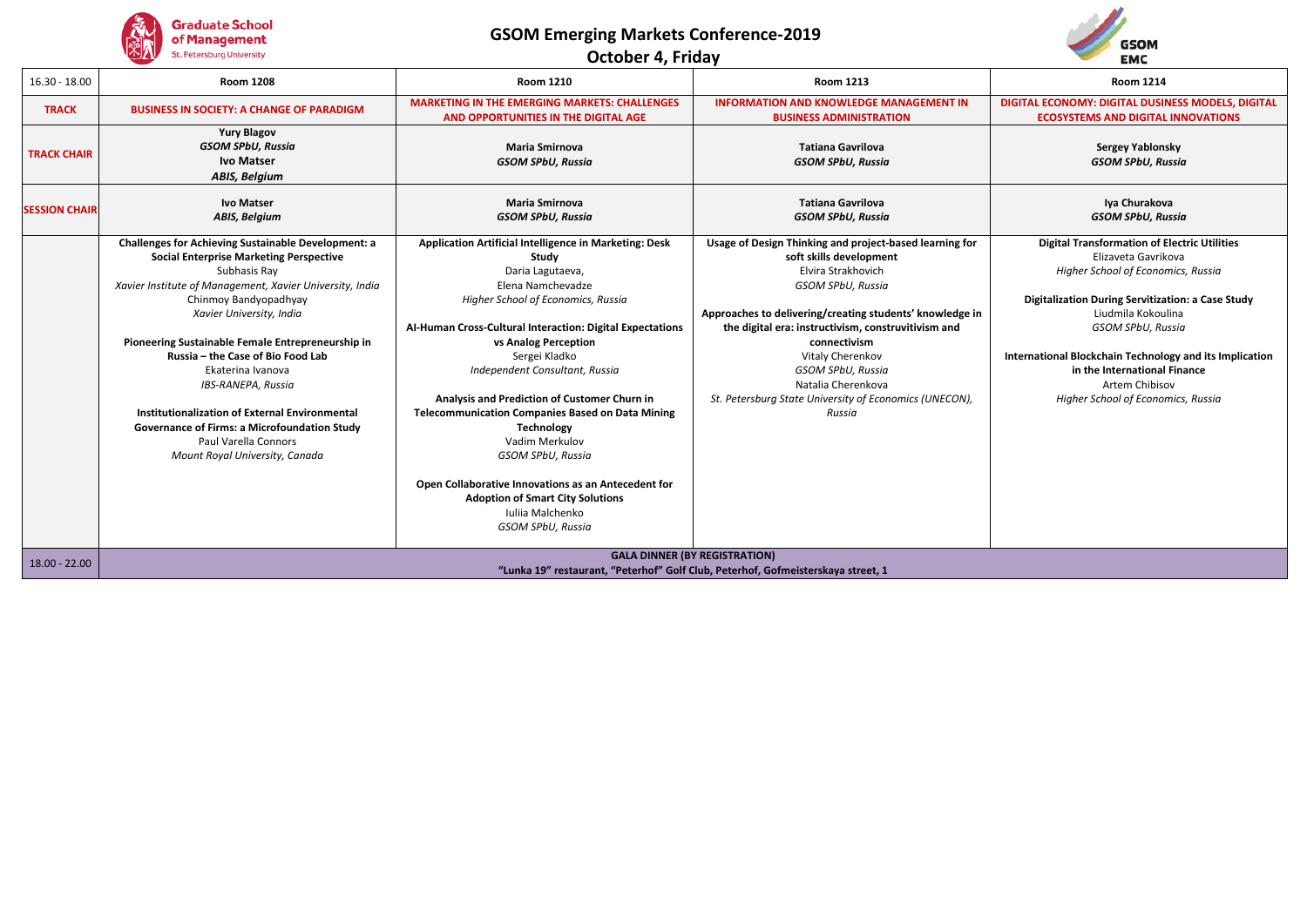

**October 4, Friday**



| $16.30 - 18.00$      | <b>Room 1208</b>                                                                                                                                                | <b>Room 1210</b>                                                                                                                                             | <b>Room 1213</b>                                                                                                                     | <b>Room 1214</b>                                                                                                 |
|----------------------|-----------------------------------------------------------------------------------------------------------------------------------------------------------------|--------------------------------------------------------------------------------------------------------------------------------------------------------------|--------------------------------------------------------------------------------------------------------------------------------------|------------------------------------------------------------------------------------------------------------------|
| <b>TRACK</b>         | <b>BUSINESS IN SOCIETY: A CHANGE OF PARADIGM</b>                                                                                                                | <b>MARKETING IN THE EMERGING MARKETS: CHALLENGES</b><br>AND OPPORTUNITIES IN THE DIGITAL AGE                                                                 | <b>INFORMATION AND KNOWLEDGE MANAGEMENT IN</b><br><b>BUSINESS ADMINISTRATION</b>                                                     | DIGITAL ECONOMY: DIGITAL DUSINESS MODELS, DIGITAL<br><b>ECOSYSTEMS AND DIGITAL INNOVATIONS</b>                   |
| <b>TRACK CHAIR</b>   | <b>Yury Blagov</b><br><b>GSOM SPbU, Russia</b><br><b>Ivo Matser</b><br>ABIS, Belgium                                                                            | <b>Maria Smirnova</b><br><b>GSOM SPbU, Russia</b>                                                                                                            | <b>Tatiana Gavrilova</b><br><b>GSOM SPbU, Russia</b>                                                                                 | <b>Sergey Yablonsky</b><br><b>GSOM SPbU, Russia</b>                                                              |
| <b>SESSION CHAIR</b> | <b>Ivo Matser</b><br>ABIS, Belgium                                                                                                                              | <b>Maria Smirnova</b><br><b>GSOM SPbU, Russia</b>                                                                                                            | <b>Tatiana Gavrilova</b><br><b>GSOM SPbU, Russia</b>                                                                                 | Iya Churakova<br><b>GSOM SPbU, Russia</b>                                                                        |
|                      | <b>Challenges for Achieving Sustainable Development: a</b><br><b>Social Enterprise Marketing Perspective</b><br>Subhasis Ray                                    | Application Artificial Intelligence in Marketing: Desk<br>Study<br>Daria Lagutaeva,                                                                          | Usage of Design Thinking and project-based learning for<br>soft skills development<br>Elvira Strakhovich                             | <b>Digital Transformation of Electric Utilities</b><br>Elizaveta Gavrikova<br>Higher School of Economics, Russia |
|                      | Xavier Institute of Management, Xavier University, India<br>Chinmoy Bandyopadhyay<br>Xavier University, India                                                   | Elena Namchevadze<br>Higher School of Economics, Russia<br>Al-Human Cross-Cultural Interaction: Digital Expectations                                         | GSOM SPbU, Russia<br>Approaches to delivering/creating students' knowledge in<br>the digital era: instructivism, construvitivism and | Digitalization During Servitization: a Case Study<br>Liudmila Kokoulina<br>GSOM SPbU, Russia                     |
|                      | Pioneering Sustainable Female Entrepreneurship in<br>Russia - the Case of Bio Food Lab<br>Ekaterina Ivanova<br>IBS-RANEPA, Russia                               | vs Analog Perception<br>Sergei Kladko<br>Independent Consultant, Russia                                                                                      | connectivism<br>Vitaly Cherenkov<br><b>GSOM SPbU. Russia</b><br>Natalia Cherenkova                                                   | International Blockchain Technology and its Implication<br>in the International Finance<br>Artem Chibisov        |
|                      | Institutionalization of External Environmental<br><b>Governance of Firms: a Microfoundation Study</b><br>Paul Varella Connors<br>Mount Royal University, Canada | Analysis and Prediction of Customer Churn in<br><b>Telecommunication Companies Based on Data Mining</b><br>Technology<br>Vadim Merkulov<br>GSOM SPbU, Russia | St. Petersburg State University of Economics (UNECON),<br>Russia                                                                     | Higher School of Economics, Russia                                                                               |
|                      |                                                                                                                                                                 | Open Collaborative Innovations as an Antecedent for<br><b>Adoption of Smart City Solutions</b><br>Julija Malchenko<br>GSOM SPbU, Russia                      |                                                                                                                                      |                                                                                                                  |
| $18.00 - 22.00$      |                                                                                                                                                                 |                                                                                                                                                              | <b>GALA DINNER (BY REGISTRATION)</b><br>"Lunka 19" restaurant, "Peterhof" Golf Club, Peterhof, Gofmeisterskaya street, 1             |                                                                                                                  |